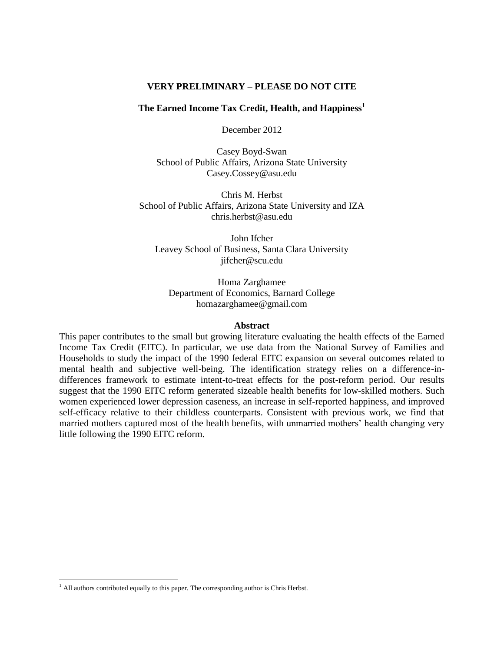### **VERY PRELIMINARY – PLEASE DO NOT CITE**

# **The Earned Income Tax Credit, Health, and Happiness<sup>1</sup>**

December 2012

Casey Boyd-Swan School of Public Affairs, Arizona State University Casey.Cossey@asu.edu

Chris M. Herbst School of Public Affairs, Arizona State University and IZA chris.herbst@asu.edu

John Ifcher Leavey School of Business, Santa Clara University jifcher@scu.edu

Homa Zarghamee Department of Economics, Barnard College homazarghamee@gmail.com

### **Abstract**

This paper contributes to the small but growing literature evaluating the health effects of the Earned Income Tax Credit (EITC). In particular, we use data from the National Survey of Families and Households to study the impact of the 1990 federal EITC expansion on several outcomes related to mental health and subjective well-being. The identification strategy relies on a difference-indifferences framework to estimate intent-to-treat effects for the post-reform period. Our results suggest that the 1990 EITC reform generated sizeable health benefits for low-skilled mothers. Such women experienced lower depression caseness, an increase in self-reported happiness, and improved self-efficacy relative to their childless counterparts. Consistent with previous work, we find that married mothers captured most of the health benefits, with unmarried mothers' health changing very little following the 1990 EITC reform.

 $\overline{a}$ 

 $<sup>1</sup>$  All authors contributed equally to this paper. The corresponding author is Chris Herbst.</sup>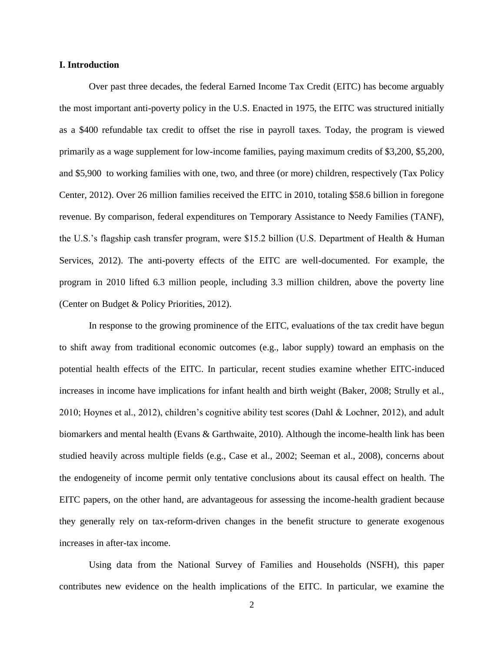### **I. Introduction**

Over past three decades, the federal Earned Income Tax Credit (EITC) has become arguably the most important anti-poverty policy in the U.S. Enacted in 1975, the EITC was structured initially as a \$400 refundable tax credit to offset the rise in payroll taxes. Today, the program is viewed primarily as a wage supplement for low-income families, paying maximum credits of \$3,200, \$5,200, and \$5,900 to working families with one, two, and three (or more) children, respectively (Tax Policy Center, 2012). Over 26 million families received the EITC in 2010, totaling \$58.6 billion in foregone revenue. By comparison, federal expenditures on Temporary Assistance to Needy Families (TANF), the U.S.'s flagship cash transfer program, were \$15.2 billion (U.S. Department of Health & Human Services, 2012). The anti-poverty effects of the EITC are well-documented. For example, the program in 2010 lifted 6.3 million people, including 3.3 million children, above the poverty line (Center on Budget & Policy Priorities, 2012).

In response to the growing prominence of the EITC, evaluations of the tax credit have begun to shift away from traditional economic outcomes (e.g., labor supply) toward an emphasis on the potential health effects of the EITC. In particular, recent studies examine whether EITC-induced increases in income have implications for infant health and birth weight (Baker, 2008; Strully et al., 2010; Hoynes et al., 2012), children's cognitive ability test scores (Dahl & Lochner, 2012), and adult biomarkers and mental health (Evans & Garthwaite, 2010). Although the income-health link has been studied heavily across multiple fields (e.g., Case et al., 2002; Seeman et al., 2008), concerns about the endogeneity of income permit only tentative conclusions about its causal effect on health. The EITC papers, on the other hand, are advantageous for assessing the income-health gradient because they generally rely on tax-reform-driven changes in the benefit structure to generate exogenous increases in after-tax income.

Using data from the National Survey of Families and Households (NSFH), this paper contributes new evidence on the health implications of the EITC. In particular, we examine the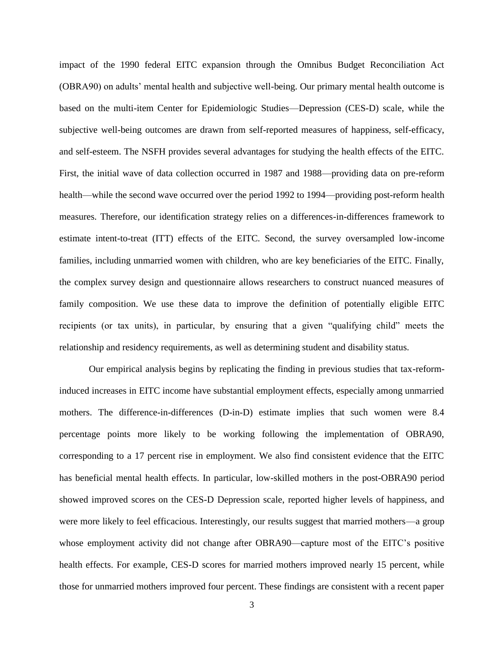impact of the 1990 federal EITC expansion through the Omnibus Budget Reconciliation Act (OBRA90) on adults' mental health and subjective well-being. Our primary mental health outcome is based on the multi-item Center for Epidemiologic Studies—Depression (CES-D) scale, while the subjective well-being outcomes are drawn from self-reported measures of happiness, self-efficacy, and self-esteem. The NSFH provides several advantages for studying the health effects of the EITC. First, the initial wave of data collection occurred in 1987 and 1988—providing data on pre-reform health—while the second wave occurred over the period 1992 to 1994—providing post-reform health measures. Therefore, our identification strategy relies on a differences-in-differences framework to estimate intent-to-treat (ITT) effects of the EITC. Second, the survey oversampled low-income families, including unmarried women with children, who are key beneficiaries of the EITC. Finally, the complex survey design and questionnaire allows researchers to construct nuanced measures of family composition. We use these data to improve the definition of potentially eligible EITC recipients (or tax units), in particular, by ensuring that a given "qualifying child" meets the relationship and residency requirements, as well as determining student and disability status.

Our empirical analysis begins by replicating the finding in previous studies that tax-reforminduced increases in EITC income have substantial employment effects, especially among unmarried mothers. The difference-in-differences (D-in-D) estimate implies that such women were 8.4 percentage points more likely to be working following the implementation of OBRA90, corresponding to a 17 percent rise in employment. We also find consistent evidence that the EITC has beneficial mental health effects. In particular, low-skilled mothers in the post-OBRA90 period showed improved scores on the CES-D Depression scale, reported higher levels of happiness, and were more likely to feel efficacious. Interestingly, our results suggest that married mothers—a group whose employment activity did not change after OBRA90—capture most of the EITC's positive health effects. For example, CES-D scores for married mothers improved nearly 15 percent, while those for unmarried mothers improved four percent. These findings are consistent with a recent paper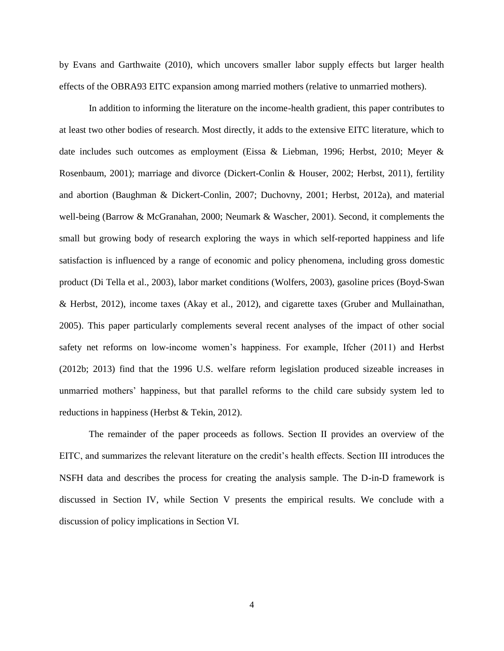by Evans and Garthwaite (2010), which uncovers smaller labor supply effects but larger health effects of the OBRA93 EITC expansion among married mothers (relative to unmarried mothers).

In addition to informing the literature on the income-health gradient, this paper contributes to at least two other bodies of research. Most directly, it adds to the extensive EITC literature, which to date includes such outcomes as employment (Eissa & Liebman, 1996; Herbst, 2010; Meyer & Rosenbaum, 2001); marriage and divorce (Dickert-Conlin & Houser, 2002; Herbst, 2011), fertility and abortion (Baughman & Dickert-Conlin, 2007; Duchovny, 2001; Herbst, 2012a), and material well-being (Barrow & McGranahan, 2000; Neumark & Wascher, 2001). Second, it complements the small but growing body of research exploring the ways in which self-reported happiness and life satisfaction is influenced by a range of economic and policy phenomena, including gross domestic product (Di Tella et al., 2003), labor market conditions (Wolfers, 2003), gasoline prices (Boyd-Swan & Herbst, 2012), income taxes (Akay et al., 2012), and cigarette taxes (Gruber and Mullainathan, 2005). This paper particularly complements several recent analyses of the impact of other social safety net reforms on low-income women's happiness. For example, Ifcher (2011) and Herbst (2012b; 2013) find that the 1996 U.S. welfare reform legislation produced sizeable increases in unmarried mothers' happiness, but that parallel reforms to the child care subsidy system led to reductions in happiness (Herbst & Tekin, 2012).

The remainder of the paper proceeds as follows. Section II provides an overview of the EITC, and summarizes the relevant literature on the credit's health effects. Section III introduces the NSFH data and describes the process for creating the analysis sample. The D-in-D framework is discussed in Section IV, while Section V presents the empirical results. We conclude with a discussion of policy implications in Section VI.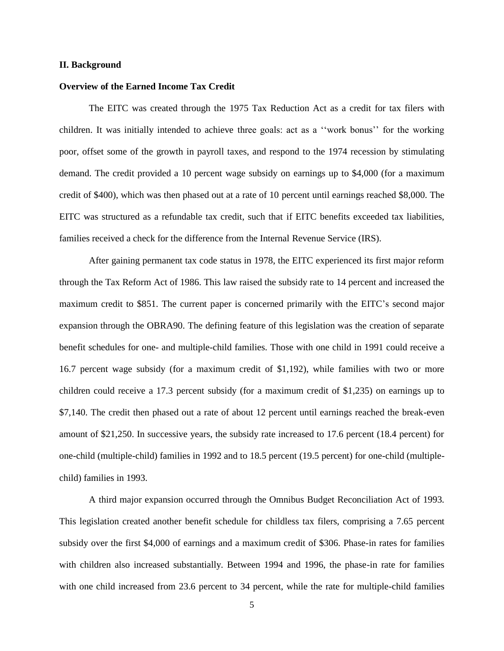#### **II. Background**

#### **Overview of the Earned Income Tax Credit**

The EITC was created through the 1975 Tax Reduction Act as a credit for tax filers with children. It was initially intended to achieve three goals: act as a ''work bonus'' for the working poor, offset some of the growth in payroll taxes, and respond to the 1974 recession by stimulating demand. The credit provided a 10 percent wage subsidy on earnings up to \$4,000 (for a maximum credit of \$400), which was then phased out at a rate of 10 percent until earnings reached \$8,000. The EITC was structured as a refundable tax credit, such that if EITC benefits exceeded tax liabilities, families received a check for the difference from the Internal Revenue Service (IRS).

After gaining permanent tax code status in 1978, the EITC experienced its first major reform through the Tax Reform Act of 1986. This law raised the subsidy rate to 14 percent and increased the maximum credit to \$851. The current paper is concerned primarily with the EITC's second major expansion through the OBRA90. The defining feature of this legislation was the creation of separate benefit schedules for one- and multiple-child families. Those with one child in 1991 could receive a 16.7 percent wage subsidy (for a maximum credit of \$1,192), while families with two or more children could receive a 17.3 percent subsidy (for a maximum credit of \$1,235) on earnings up to \$7,140. The credit then phased out a rate of about 12 percent until earnings reached the break-even amount of \$21,250. In successive years, the subsidy rate increased to 17.6 percent (18.4 percent) for one-child (multiple-child) families in 1992 and to 18.5 percent (19.5 percent) for one-child (multiplechild) families in 1993.

A third major expansion occurred through the Omnibus Budget Reconciliation Act of 1993. This legislation created another benefit schedule for childless tax filers, comprising a 7.65 percent subsidy over the first \$4,000 of earnings and a maximum credit of \$306. Phase-in rates for families with children also increased substantially. Between 1994 and 1996, the phase-in rate for families with one child increased from 23.6 percent to 34 percent, while the rate for multiple-child families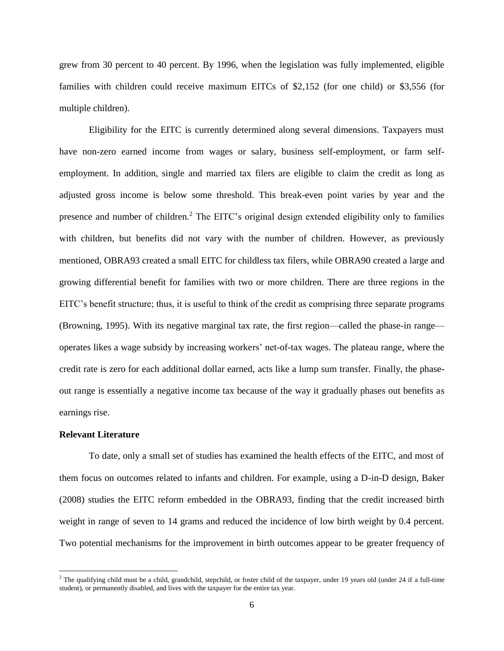grew from 30 percent to 40 percent. By 1996, when the legislation was fully implemented, eligible families with children could receive maximum EITCs of \$2,152 (for one child) or \$3,556 (for multiple children).

Eligibility for the EITC is currently determined along several dimensions. Taxpayers must have non-zero earned income from wages or salary, business self-employment, or farm selfemployment. In addition, single and married tax filers are eligible to claim the credit as long as adjusted gross income is below some threshold. This break-even point varies by year and the presence and number of children.<sup>2</sup> The EITC's original design extended eligibility only to families with children, but benefits did not vary with the number of children. However, as previously mentioned, OBRA93 created a small EITC for childless tax filers, while OBRA90 created a large and growing differential benefit for families with two or more children. There are three regions in the EITC's benefit structure; thus, it is useful to think of the credit as comprising three separate programs (Browning, 1995). With its negative marginal tax rate, the first region—called the phase-in range operates likes a wage subsidy by increasing workers' net-of-tax wages. The plateau range, where the credit rate is zero for each additional dollar earned, acts like a lump sum transfer. Finally, the phaseout range is essentially a negative income tax because of the way it gradually phases out benefits as earnings rise.

## **Relevant Literature**

To date, only a small set of studies has examined the health effects of the EITC, and most of them focus on outcomes related to infants and children. For example, using a D-in-D design, Baker (2008) studies the EITC reform embedded in the OBRA93, finding that the credit increased birth weight in range of seven to 14 grams and reduced the incidence of low birth weight by 0.4 percent. Two potential mechanisms for the improvement in birth outcomes appear to be greater frequency of

<sup>&</sup>lt;sup>2</sup> The qualifying child must be a child, grandchild, stepchild, or foster child of the taxpayer, under 19 years old (under 24 if a full-time student), or permanently disabled, and lives with the taxpayer for the entire tax year.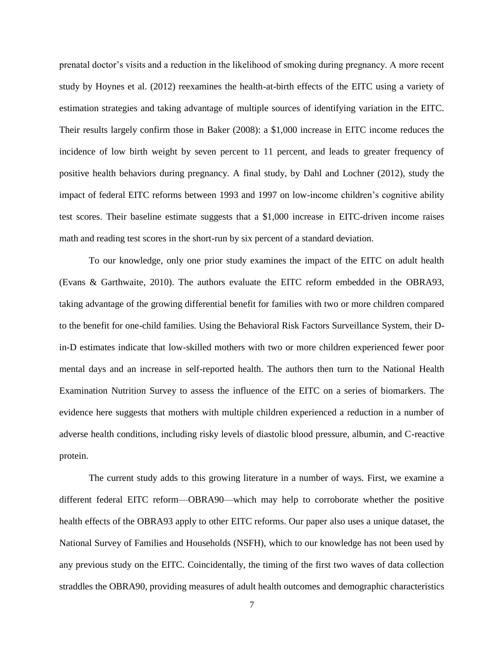prenatal doctor's visits and a reduction in the likelihood of smoking during pregnancy. A more recent study by Hoynes et al. (2012) reexamines the health-at-birth effects of the EITC using a variety of estimation strategies and taking advantage of multiple sources of identifying variation in the EITC. Their results largely confirm those in Baker (2008): a \$1,000 increase in EITC income reduces the incidence of low birth weight by seven percent to 11 percent, and leads to greater frequency of positive health behaviors during pregnancy. A final study, by Dahl and Lochner (2012), study the impact of federal EITC reforms between 1993 and 1997 on low-income children's cognitive ability test scores. Their baseline estimate suggests that a \$1,000 increase in EITC-driven income raises math and reading test scores in the short-run by six percent of a standard deviation.

To our knowledge, only one prior study examines the impact of the EITC on adult health (Evans & Garthwaite, 2010). The authors evaluate the EITC reform embedded in the OBRA93, taking advantage of the growing differential benefit for families with two or more children compared to the benefit for one-child families. Using the Behavioral Risk Factors Surveillance System, their Din-D estimates indicate that low-skilled mothers with two or more children experienced fewer poor mental days and an increase in self-reported health. The authors then turn to the National Health Examination Nutrition Survey to assess the influence of the EITC on a series of biomarkers. The evidence here suggests that mothers with multiple children experienced a reduction in a number of adverse health conditions, including risky levels of diastolic blood pressure, albumin, and C-reactive protein.

The current study adds to this growing literature in a number of ways. First, we examine a different federal EITC reform—OBRA90—which may help to corroborate whether the positive health effects of the OBRA93 apply to other EITC reforms. Our paper also uses a unique dataset, the National Survey of Families and Households (NSFH), which to our knowledge has not been used by any previous study on the EITC. Coincidentally, the timing of the first two waves of data collection straddles the OBRA90, providing measures of adult health outcomes and demographic characteristics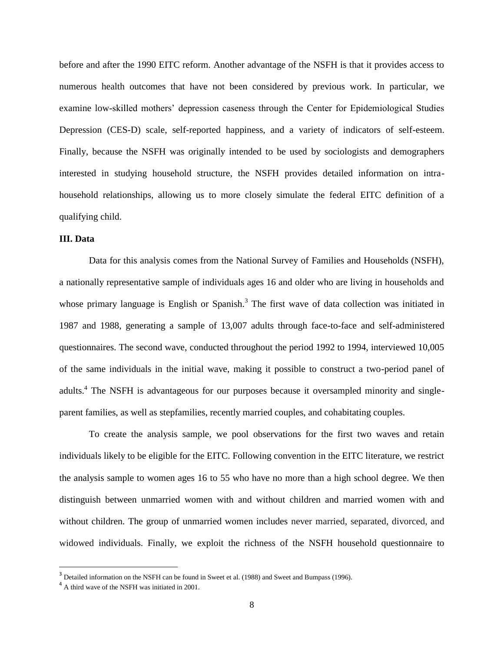before and after the 1990 EITC reform. Another advantage of the NSFH is that it provides access to numerous health outcomes that have not been considered by previous work. In particular, we examine low-skilled mothers' depression caseness through the Center for Epidemiological Studies Depression (CES-D) scale, self-reported happiness, and a variety of indicators of self-esteem. Finally, because the NSFH was originally intended to be used by sociologists and demographers interested in studying household structure, the NSFH provides detailed information on intrahousehold relationships, allowing us to more closely simulate the federal EITC definition of a qualifying child.

#### **III. Data**

Data for this analysis comes from the National Survey of Families and Households (NSFH), a nationally representative sample of individuals ages 16 and older who are living in households and whose primary language is English or Spanish.<sup>3</sup> The first wave of data collection was initiated in 1987 and 1988, generating a sample of 13,007 adults through face-to-face and self-administered questionnaires. The second wave, conducted throughout the period 1992 to 1994, interviewed 10,005 of the same individuals in the initial wave, making it possible to construct a two-period panel of adults.<sup>4</sup> The NSFH is advantageous for our purposes because it oversampled minority and singleparent families, as well as stepfamilies, recently married couples, and cohabitating couples.

To create the analysis sample, we pool observations for the first two waves and retain individuals likely to be eligible for the EITC. Following convention in the EITC literature, we restrict the analysis sample to women ages 16 to 55 who have no more than a high school degree. We then distinguish between unmarried women with and without children and married women with and without children. The group of unmarried women includes never married, separated, divorced, and widowed individuals. Finally, we exploit the richness of the NSFH household questionnaire to

 $\overline{a}$ 

 $3$  Detailed information on the NSFH can be found in Sweet et al. (1988) and Sweet and Bumpass (1996).

<sup>&</sup>lt;sup>4</sup> A third wave of the NSFH was initiated in 2001.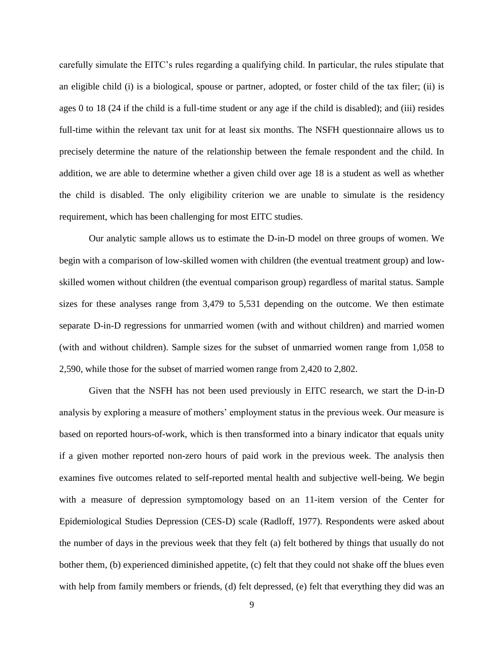carefully simulate the EITC's rules regarding a qualifying child. In particular, the rules stipulate that an eligible child (i) is a biological, spouse or partner, adopted, or foster child of the tax filer; (ii) is ages 0 to 18 (24 if the child is a full-time student or any age if the child is disabled); and (iii) resides full-time within the relevant tax unit for at least six months. The NSFH questionnaire allows us to precisely determine the nature of the relationship between the female respondent and the child. In addition, we are able to determine whether a given child over age 18 is a student as well as whether the child is disabled. The only eligibility criterion we are unable to simulate is the residency requirement, which has been challenging for most EITC studies.

Our analytic sample allows us to estimate the D-in-D model on three groups of women. We begin with a comparison of low-skilled women with children (the eventual treatment group) and lowskilled women without children (the eventual comparison group) regardless of marital status. Sample sizes for these analyses range from 3,479 to 5,531 depending on the outcome. We then estimate separate D-in-D regressions for unmarried women (with and without children) and married women (with and without children). Sample sizes for the subset of unmarried women range from 1,058 to 2,590, while those for the subset of married women range from 2,420 to 2,802.

Given that the NSFH has not been used previously in EITC research, we start the D-in-D analysis by exploring a measure of mothers' employment status in the previous week. Our measure is based on reported hours-of-work, which is then transformed into a binary indicator that equals unity if a given mother reported non-zero hours of paid work in the previous week. The analysis then examines five outcomes related to self-reported mental health and subjective well-being. We begin with a measure of depression symptomology based on an 11-item version of the Center for Epidemiological Studies Depression (CES-D) scale (Radloff, 1977). Respondents were asked about the number of days in the previous week that they felt (a) felt bothered by things that usually do not bother them, (b) experienced diminished appetite, (c) felt that they could not shake off the blues even with help from family members or friends, (d) felt depressed, (e) felt that everything they did was an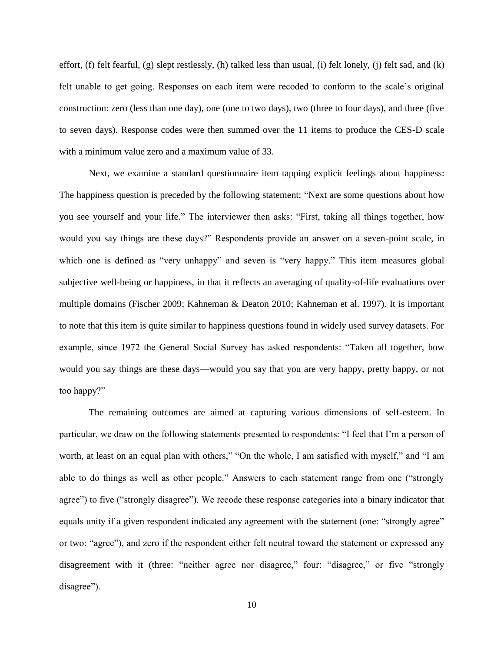effort, (f) felt fearful, (g) slept restlessly, (h) talked less than usual, (i) felt lonely, (j) felt sad, and (k) felt unable to get going. Responses on each item were recoded to conform to the scale's original construction: zero (less than one day), one (one to two days), two (three to four days), and three (five to seven days). Response codes were then summed over the 11 items to produce the CES-D scale with a minimum value zero and a maximum value of 33.

Next, we examine a standard questionnaire item tapping explicit feelings about happiness: The happiness question is preceded by the following statement: "Next are some questions about how you see yourself and your life." The interviewer then asks: "First, taking all things together, how would you say things are these days?" Respondents provide an answer on a seven-point scale, in which one is defined as "very unhappy" and seven is "very happy." This item measures global subjective well-being or happiness, in that it reflects an averaging of quality-of-life evaluations over multiple domains (Fischer 2009; Kahneman & Deaton 2010; Kahneman et al. 1997). It is important to note that this item is quite similar to happiness questions found in widely used survey datasets. For example, since 1972 the General Social Survey has asked respondents: "Taken all together, how would you say things are these days—would you say that you are very happy, pretty happy, or not too happy?"

The remaining outcomes are aimed at capturing various dimensions of self-esteem. In particular, we draw on the following statements presented to respondents: "I feel that I'm a person of worth, at least on an equal plan with others," "On the whole, I am satisfied with myself," and "I am able to do things as well as other people." Answers to each statement range from one ("strongly agree") to five ("strongly disagree"). We recode these response categories into a binary indicator that equals unity if a given respondent indicated any agreement with the statement (one: "strongly agree" or two: "agree"), and zero if the respondent either felt neutral toward the statement or expressed any disagreement with it (three: "neither agree nor disagree," four: "disagree," or five "strongly disagree").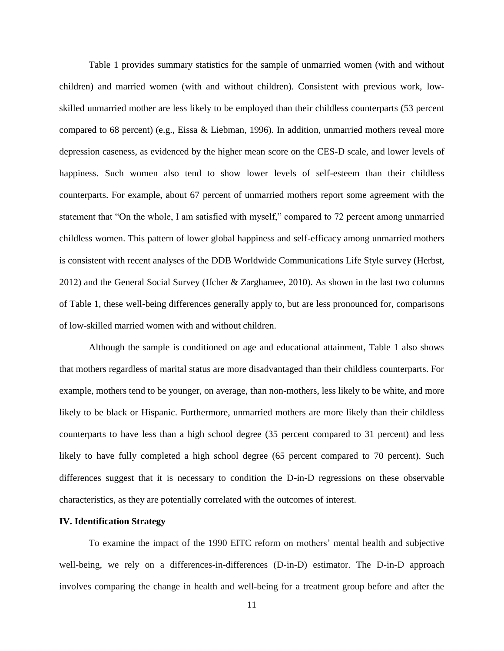Table 1 provides summary statistics for the sample of unmarried women (with and without children) and married women (with and without children). Consistent with previous work, lowskilled unmarried mother are less likely to be employed than their childless counterparts (53 percent compared to 68 percent) (e.g., Eissa & Liebman, 1996). In addition, unmarried mothers reveal more depression caseness, as evidenced by the higher mean score on the CES-D scale, and lower levels of happiness. Such women also tend to show lower levels of self-esteem than their childless counterparts. For example, about 67 percent of unmarried mothers report some agreement with the statement that "On the whole, I am satisfied with myself," compared to 72 percent among unmarried childless women. This pattern of lower global happiness and self-efficacy among unmarried mothers is consistent with recent analyses of the DDB Worldwide Communications Life Style survey (Herbst, 2012) and the General Social Survey (Ifcher & Zarghamee, 2010). As shown in the last two columns of Table 1, these well-being differences generally apply to, but are less pronounced for, comparisons of low-skilled married women with and without children.

Although the sample is conditioned on age and educational attainment, Table 1 also shows that mothers regardless of marital status are more disadvantaged than their childless counterparts. For example, mothers tend to be younger, on average, than non-mothers, less likely to be white, and more likely to be black or Hispanic. Furthermore, unmarried mothers are more likely than their childless counterparts to have less than a high school degree (35 percent compared to 31 percent) and less likely to have fully completed a high school degree (65 percent compared to 70 percent). Such differences suggest that it is necessary to condition the D-in-D regressions on these observable characteristics, as they are potentially correlated with the outcomes of interest.

## **IV. Identification Strategy**

To examine the impact of the 1990 EITC reform on mothers' mental health and subjective well-being, we rely on a differences-in-differences (D-in-D) estimator. The D-in-D approach involves comparing the change in health and well-being for a treatment group before and after the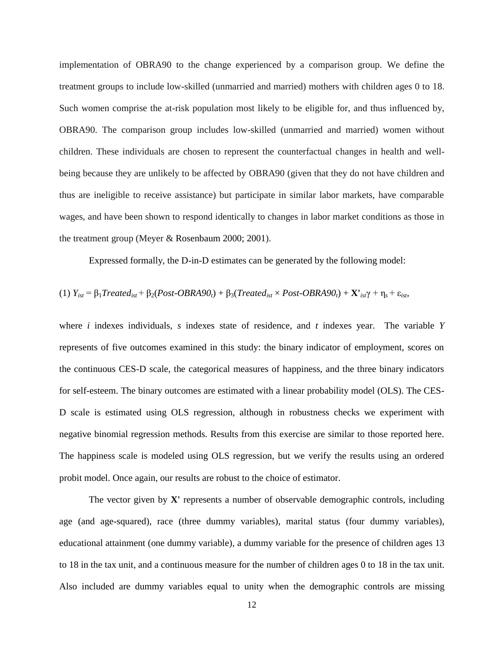implementation of OBRA90 to the change experienced by a comparison group. We define the treatment groups to include low-skilled (unmarried and married) mothers with children ages 0 to 18. Such women comprise the at-risk population most likely to be eligible for, and thus influenced by, OBRA90. The comparison group includes low-skilled (unmarried and married) women without children. These individuals are chosen to represent the counterfactual changes in health and wellbeing because they are unlikely to be affected by OBRA90 (given that they do not have children and thus are ineligible to receive assistance) but participate in similar labor markets, have comparable wages, and have been shown to respond identically to changes in labor market conditions as those in the treatment group (Meyer & Rosenbaum 2000; 2001).

Expressed formally, the D-in-D estimates can be generated by the following model:

(1) 
$$
Y_{ist} = \beta_1 Treated_{ist} + \beta_2 (Post-OBRA90_t) + \beta_3 (Treated_{ist} \times Post-OBRA90_t) + \mathbf{X'}_{ist} + \eta_s + \varepsilon_{ist}
$$

where *i* indexes individuals, *s* indexes state of residence, and *t* indexes year. The variable *Y* represents of five outcomes examined in this study: the binary indicator of employment, scores on the continuous CES-D scale, the categorical measures of happiness, and the three binary indicators for self-esteem. The binary outcomes are estimated with a linear probability model (OLS). The CES-D scale is estimated using OLS regression, although in robustness checks we experiment with negative binomial regression methods. Results from this exercise are similar to those reported here. The happiness scale is modeled using OLS regression, but we verify the results using an ordered probit model. Once again, our results are robust to the choice of estimator.

The vector given by **X'** represents a number of observable demographic controls, including age (and age-squared), race (three dummy variables), marital status (four dummy variables), educational attainment (one dummy variable), a dummy variable for the presence of children ages 13 to 18 in the tax unit, and a continuous measure for the number of children ages 0 to 18 in the tax unit. Also included are dummy variables equal to unity when the demographic controls are missing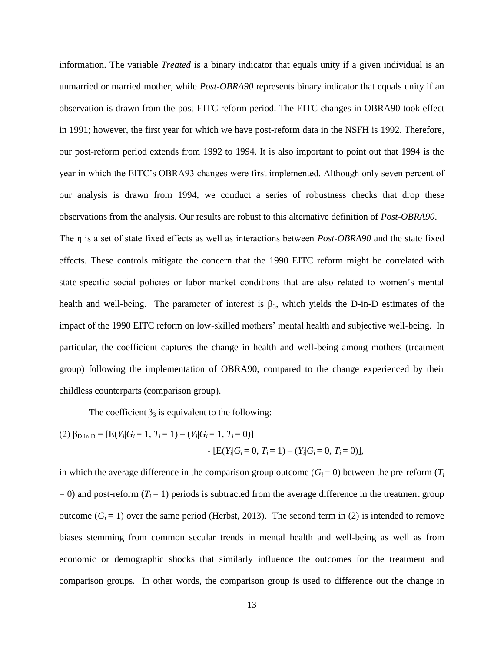information. The variable *Treated* is a binary indicator that equals unity if a given individual is an unmarried or married mother, while *Post-OBRA90* represents binary indicator that equals unity if an observation is drawn from the post-EITC reform period. The EITC changes in OBRA90 took effect in 1991; however, the first year for which we have post-reform data in the NSFH is 1992. Therefore, our post-reform period extends from 1992 to 1994. It is also important to point out that 1994 is the year in which the EITC's OBRA93 changes were first implemented. Although only seven percent of our analysis is drawn from 1994, we conduct a series of robustness checks that drop these observations from the analysis. Our results are robust to this alternative definition of *Post-OBRA90*. The η is a set of state fixed effects as well as interactions between *Post-OBRA90* and the state fixed

effects. These controls mitigate the concern that the 1990 EITC reform might be correlated with state-specific social policies or labor market conditions that are also related to women's mental health and well-being. The parameter of interest is  $\beta_3$ , which yields the D-in-D estimates of the impact of the 1990 EITC reform on low-skilled mothers' mental health and subjective well-being. In particular, the coefficient captures the change in health and well-being among mothers (treatment group) following the implementation of OBRA90, compared to the change experienced by their childless counterparts (comparison group).

The coefficient  $\beta_3$  is equivalent to the following:

(2) 
$$
\beta_{D-in-D} = [E(Y_i | G_i = 1, T_i = 1) - (Y_i | G_i = 1, T_i = 0)]
$$
  
-  $[E(Y_i | G_i = 0, T_i = 1) - (Y_i | G_i = 0, T_i = 0)],$ 

in which the average difference in the comparison group outcome  $(G_i = 0)$  between the pre-reform  $(T_i$  $= 0$ ) and post-reform ( $T_i = 1$ ) periods is subtracted from the average difference in the treatment group outcome  $(G_i = 1)$  over the same period (Herbst, 2013). The second term in (2) is intended to remove biases stemming from common secular trends in mental health and well-being as well as from economic or demographic shocks that similarly influence the outcomes for the treatment and comparison groups. In other words, the comparison group is used to difference out the change in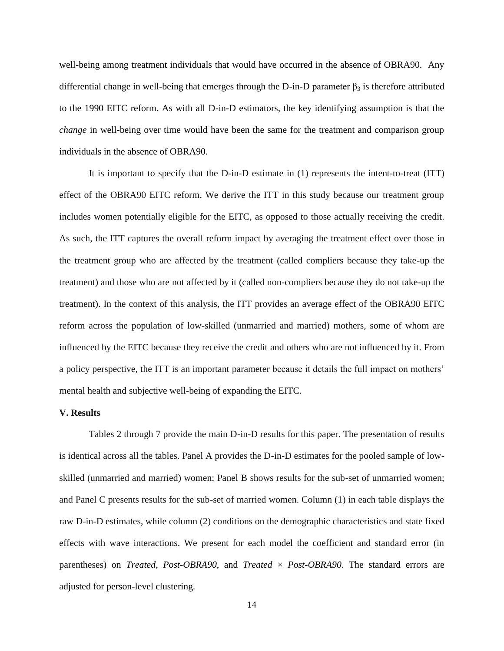well-being among treatment individuals that would have occurred in the absence of OBRA90. Any differential change in well-being that emerges through the D-in-D parameter  $\beta_3$  is therefore attributed to the 1990 EITC reform. As with all D-in-D estimators, the key identifying assumption is that the *change* in well-being over time would have been the same for the treatment and comparison group individuals in the absence of OBRA90.

It is important to specify that the D-in-D estimate in (1) represents the intent-to-treat (ITT) effect of the OBRA90 EITC reform. We derive the ITT in this study because our treatment group includes women potentially eligible for the EITC, as opposed to those actually receiving the credit. As such, the ITT captures the overall reform impact by averaging the treatment effect over those in the treatment group who are affected by the treatment (called compliers because they take-up the treatment) and those who are not affected by it (called non-compliers because they do not take-up the treatment). In the context of this analysis, the ITT provides an average effect of the OBRA90 EITC reform across the population of low-skilled (unmarried and married) mothers, some of whom are influenced by the EITC because they receive the credit and others who are not influenced by it. From a policy perspective, the ITT is an important parameter because it details the full impact on mothers' mental health and subjective well-being of expanding the EITC.

## **V. Results**

Tables 2 through 7 provide the main D-in-D results for this paper. The presentation of results is identical across all the tables. Panel A provides the D-in-D estimates for the pooled sample of lowskilled (unmarried and married) women; Panel B shows results for the sub-set of unmarried women; and Panel C presents results for the sub-set of married women. Column (1) in each table displays the raw D-in-D estimates, while column (2) conditions on the demographic characteristics and state fixed effects with wave interactions. We present for each model the coefficient and standard error (in parentheses) on *Treated*, *Post-OBRA90*, and *Treated* × *Post-OBRA90*. The standard errors are adjusted for person-level clustering.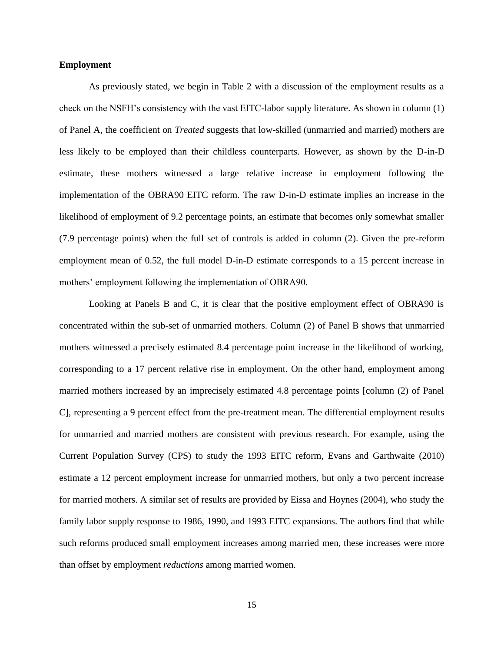#### **Employment**

As previously stated, we begin in Table 2 with a discussion of the employment results as a check on the NSFH's consistency with the vast EITC-labor supply literature. As shown in column (1) of Panel A, the coefficient on *Treated* suggests that low-skilled (unmarried and married) mothers are less likely to be employed than their childless counterparts. However, as shown by the D-in-D estimate, these mothers witnessed a large relative increase in employment following the implementation of the OBRA90 EITC reform. The raw D-in-D estimate implies an increase in the likelihood of employment of 9.2 percentage points, an estimate that becomes only somewhat smaller (7.9 percentage points) when the full set of controls is added in column (2). Given the pre-reform employment mean of 0.52, the full model D-in-D estimate corresponds to a 15 percent increase in mothers' employment following the implementation of OBRA90.

Looking at Panels B and C, it is clear that the positive employment effect of OBRA90 is concentrated within the sub-set of unmarried mothers. Column (2) of Panel B shows that unmarried mothers witnessed a precisely estimated 8.4 percentage point increase in the likelihood of working, corresponding to a 17 percent relative rise in employment. On the other hand, employment among married mothers increased by an imprecisely estimated 4.8 percentage points [column (2) of Panel C], representing a 9 percent effect from the pre-treatment mean. The differential employment results for unmarried and married mothers are consistent with previous research. For example, using the Current Population Survey (CPS) to study the 1993 EITC reform, Evans and Garthwaite (2010) estimate a 12 percent employment increase for unmarried mothers, but only a two percent increase for married mothers. A similar set of results are provided by Eissa and Hoynes (2004), who study the family labor supply response to 1986, 1990, and 1993 EITC expansions. The authors find that while such reforms produced small employment increases among married men, these increases were more than offset by employment *reductions* among married women.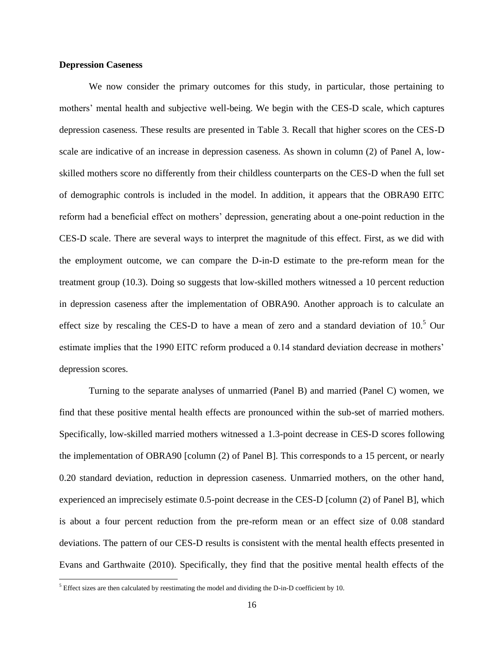#### **Depression Caseness**

We now consider the primary outcomes for this study, in particular, those pertaining to mothers' mental health and subjective well-being. We begin with the CES-D scale, which captures depression caseness. These results are presented in Table 3. Recall that higher scores on the CES-D scale are indicative of an increase in depression caseness. As shown in column (2) of Panel A, lowskilled mothers score no differently from their childless counterparts on the CES-D when the full set of demographic controls is included in the model. In addition, it appears that the OBRA90 EITC reform had a beneficial effect on mothers' depression, generating about a one-point reduction in the CES-D scale. There are several ways to interpret the magnitude of this effect. First, as we did with the employment outcome, we can compare the D-in-D estimate to the pre-reform mean for the treatment group (10.3). Doing so suggests that low-skilled mothers witnessed a 10 percent reduction in depression caseness after the implementation of OBRA90. Another approach is to calculate an effect size by rescaling the CES-D to have a mean of zero and a standard deviation of 10.<sup>5</sup> Our estimate implies that the 1990 EITC reform produced a 0.14 standard deviation decrease in mothers' depression scores.

Turning to the separate analyses of unmarried (Panel B) and married (Panel C) women, we find that these positive mental health effects are pronounced within the sub-set of married mothers. Specifically, low-skilled married mothers witnessed a 1.3-point decrease in CES-D scores following the implementation of OBRA90 [column (2) of Panel B]. This corresponds to a 15 percent, or nearly 0.20 standard deviation, reduction in depression caseness. Unmarried mothers, on the other hand, experienced an imprecisely estimate 0.5-point decrease in the CES-D [column (2) of Panel B], which is about a four percent reduction from the pre-reform mean or an effect size of 0.08 standard deviations. The pattern of our CES-D results is consistent with the mental health effects presented in Evans and Garthwaite (2010). Specifically, they find that the positive mental health effects of the

<sup>&</sup>lt;sup>5</sup> Effect sizes are then calculated by reestimating the model and dividing the D-in-D coefficient by 10.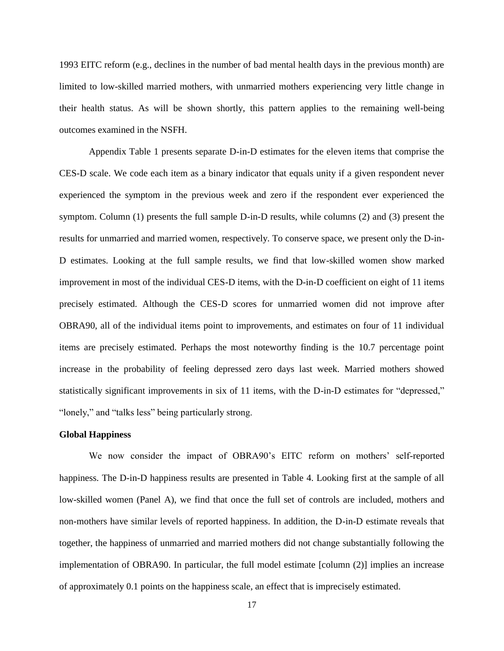1993 EITC reform (e.g., declines in the number of bad mental health days in the previous month) are limited to low-skilled married mothers, with unmarried mothers experiencing very little change in their health status. As will be shown shortly, this pattern applies to the remaining well-being outcomes examined in the NSFH.

Appendix Table 1 presents separate D-in-D estimates for the eleven items that comprise the CES-D scale. We code each item as a binary indicator that equals unity if a given respondent never experienced the symptom in the previous week and zero if the respondent ever experienced the symptom. Column (1) presents the full sample D-in-D results, while columns (2) and (3) present the results for unmarried and married women, respectively. To conserve space, we present only the D-in-D estimates. Looking at the full sample results, we find that low-skilled women show marked improvement in most of the individual CES-D items, with the D-in-D coefficient on eight of 11 items precisely estimated. Although the CES-D scores for unmarried women did not improve after OBRA90, all of the individual items point to improvements, and estimates on four of 11 individual items are precisely estimated. Perhaps the most noteworthy finding is the 10.7 percentage point increase in the probability of feeling depressed zero days last week. Married mothers showed statistically significant improvements in six of 11 items, with the D-in-D estimates for "depressed," "lonely," and "talks less" being particularly strong.

## **Global Happiness**

We now consider the impact of OBRA90's EITC reform on mothers' self-reported happiness. The D-in-D happiness results are presented in Table 4. Looking first at the sample of all low-skilled women (Panel A), we find that once the full set of controls are included, mothers and non-mothers have similar levels of reported happiness. In addition, the D-in-D estimate reveals that together, the happiness of unmarried and married mothers did not change substantially following the implementation of OBRA90. In particular, the full model estimate [column (2)] implies an increase of approximately 0.1 points on the happiness scale, an effect that is imprecisely estimated.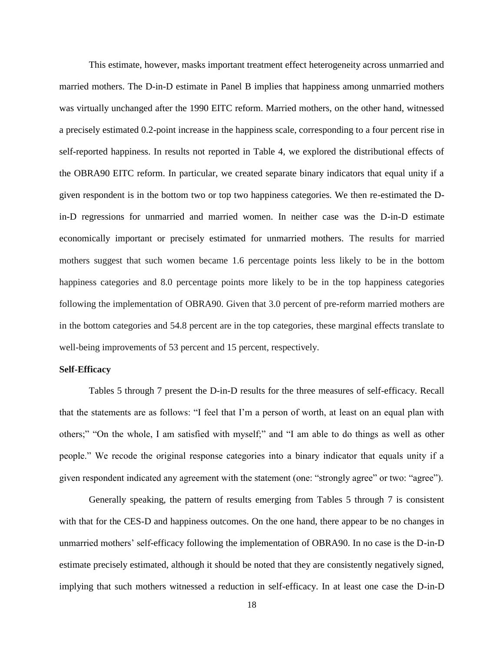This estimate, however, masks important treatment effect heterogeneity across unmarried and married mothers. The D-in-D estimate in Panel B implies that happiness among unmarried mothers was virtually unchanged after the 1990 EITC reform. Married mothers, on the other hand, witnessed a precisely estimated 0.2-point increase in the happiness scale, corresponding to a four percent rise in self-reported happiness. In results not reported in Table 4, we explored the distributional effects of the OBRA90 EITC reform. In particular, we created separate binary indicators that equal unity if a given respondent is in the bottom two or top two happiness categories. We then re-estimated the Din-D regressions for unmarried and married women. In neither case was the D-in-D estimate economically important or precisely estimated for unmarried mothers. The results for married mothers suggest that such women became 1.6 percentage points less likely to be in the bottom happiness categories and 8.0 percentage points more likely to be in the top happiness categories following the implementation of OBRA90. Given that 3.0 percent of pre-reform married mothers are in the bottom categories and 54.8 percent are in the top categories, these marginal effects translate to well-being improvements of 53 percent and 15 percent, respectively.

#### **Self-Efficacy**

Tables 5 through 7 present the D-in-D results for the three measures of self-efficacy. Recall that the statements are as follows: "I feel that I'm a person of worth, at least on an equal plan with others;" "On the whole, I am satisfied with myself;" and "I am able to do things as well as other people." We recode the original response categories into a binary indicator that equals unity if a given respondent indicated any agreement with the statement (one: "strongly agree" or two: "agree").

Generally speaking, the pattern of results emerging from Tables 5 through 7 is consistent with that for the CES-D and happiness outcomes. On the one hand, there appear to be no changes in unmarried mothers' self-efficacy following the implementation of OBRA90. In no case is the D-in-D estimate precisely estimated, although it should be noted that they are consistently negatively signed, implying that such mothers witnessed a reduction in self-efficacy. In at least one case the D-in-D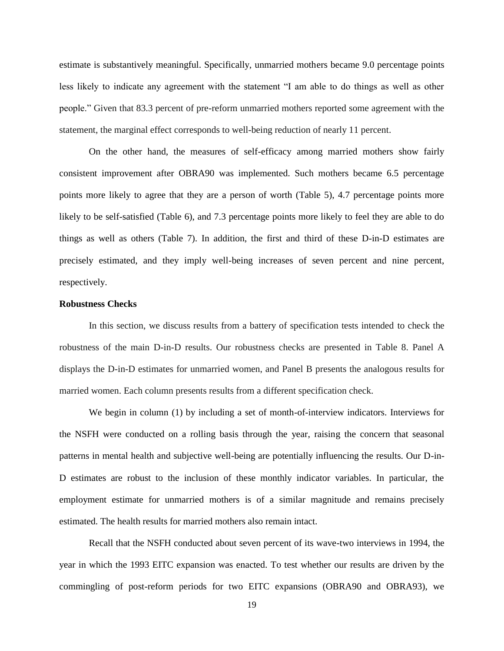estimate is substantively meaningful. Specifically, unmarried mothers became 9.0 percentage points less likely to indicate any agreement with the statement "I am able to do things as well as other people." Given that 83.3 percent of pre-reform unmarried mothers reported some agreement with the statement, the marginal effect corresponds to well-being reduction of nearly 11 percent.

On the other hand, the measures of self-efficacy among married mothers show fairly consistent improvement after OBRA90 was implemented. Such mothers became 6.5 percentage points more likely to agree that they are a person of worth (Table 5), 4.7 percentage points more likely to be self-satisfied (Table 6), and 7.3 percentage points more likely to feel they are able to do things as well as others (Table 7). In addition, the first and third of these D-in-D estimates are precisely estimated, and they imply well-being increases of seven percent and nine percent, respectively.

### **Robustness Checks**

In this section, we discuss results from a battery of specification tests intended to check the robustness of the main D-in-D results. Our robustness checks are presented in Table 8. Panel A displays the D-in-D estimates for unmarried women, and Panel B presents the analogous results for married women. Each column presents results from a different specification check.

We begin in column (1) by including a set of month-of-interview indicators. Interviews for the NSFH were conducted on a rolling basis through the year, raising the concern that seasonal patterns in mental health and subjective well-being are potentially influencing the results. Our D-in-D estimates are robust to the inclusion of these monthly indicator variables. In particular, the employment estimate for unmarried mothers is of a similar magnitude and remains precisely estimated. The health results for married mothers also remain intact.

Recall that the NSFH conducted about seven percent of its wave-two interviews in 1994, the year in which the 1993 EITC expansion was enacted. To test whether our results are driven by the commingling of post-reform periods for two EITC expansions (OBRA90 and OBRA93), we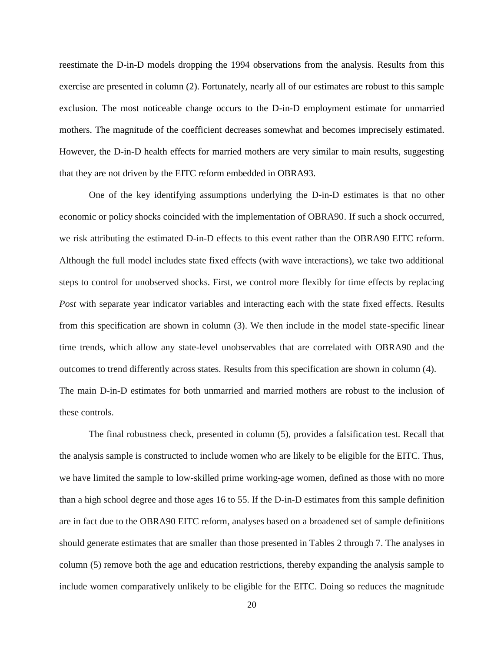reestimate the D-in-D models dropping the 1994 observations from the analysis. Results from this exercise are presented in column (2). Fortunately, nearly all of our estimates are robust to this sample exclusion. The most noticeable change occurs to the D-in-D employment estimate for unmarried mothers. The magnitude of the coefficient decreases somewhat and becomes imprecisely estimated. However, the D-in-D health effects for married mothers are very similar to main results, suggesting that they are not driven by the EITC reform embedded in OBRA93.

One of the key identifying assumptions underlying the D-in-D estimates is that no other economic or policy shocks coincided with the implementation of OBRA90. If such a shock occurred, we risk attributing the estimated D-in-D effects to this event rather than the OBRA90 EITC reform. Although the full model includes state fixed effects (with wave interactions), we take two additional steps to control for unobserved shocks. First, we control more flexibly for time effects by replacing *Post* with separate year indicator variables and interacting each with the state fixed effects. Results from this specification are shown in column (3). We then include in the model state-specific linear time trends, which allow any state-level unobservables that are correlated with OBRA90 and the outcomes to trend differently across states. Results from this specification are shown in column (4). The main D-in-D estimates for both unmarried and married mothers are robust to the inclusion of these controls.

The final robustness check, presented in column (5), provides a falsification test. Recall that the analysis sample is constructed to include women who are likely to be eligible for the EITC. Thus, we have limited the sample to low-skilled prime working-age women, defined as those with no more than a high school degree and those ages 16 to 55. If the D-in-D estimates from this sample definition are in fact due to the OBRA90 EITC reform, analyses based on a broadened set of sample definitions should generate estimates that are smaller than those presented in Tables 2 through 7. The analyses in column (5) remove both the age and education restrictions, thereby expanding the analysis sample to include women comparatively unlikely to be eligible for the EITC. Doing so reduces the magnitude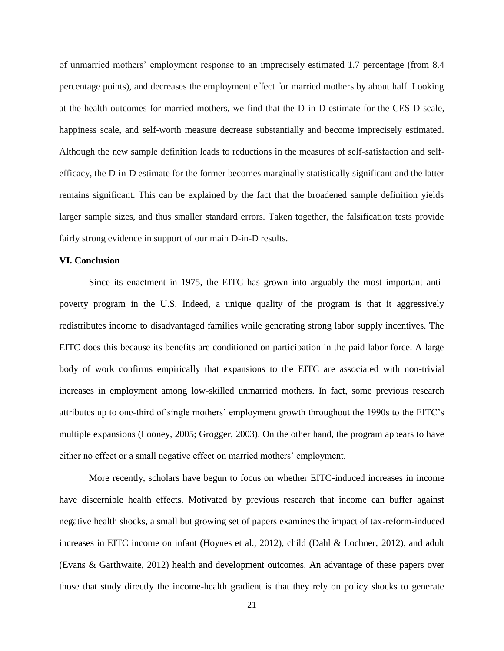of unmarried mothers' employment response to an imprecisely estimated 1.7 percentage (from 8.4 percentage points), and decreases the employment effect for married mothers by about half. Looking at the health outcomes for married mothers, we find that the D-in-D estimate for the CES-D scale, happiness scale, and self-worth measure decrease substantially and become imprecisely estimated. Although the new sample definition leads to reductions in the measures of self-satisfaction and selfefficacy, the D-in-D estimate for the former becomes marginally statistically significant and the latter remains significant. This can be explained by the fact that the broadened sample definition yields larger sample sizes, and thus smaller standard errors. Taken together, the falsification tests provide fairly strong evidence in support of our main D-in-D results.

#### **VI. Conclusion**

Since its enactment in 1975, the EITC has grown into arguably the most important antipoverty program in the U.S. Indeed, a unique quality of the program is that it aggressively redistributes income to disadvantaged families while generating strong labor supply incentives. The EITC does this because its benefits are conditioned on participation in the paid labor force. A large body of work confirms empirically that expansions to the EITC are associated with non-trivial increases in employment among low-skilled unmarried mothers. In fact, some previous research attributes up to one-third of single mothers' employment growth throughout the 1990s to the EITC's multiple expansions (Looney, 2005; Grogger, 2003). On the other hand, the program appears to have either no effect or a small negative effect on married mothers' employment.

More recently, scholars have begun to focus on whether EITC-induced increases in income have discernible health effects. Motivated by previous research that income can buffer against negative health shocks, a small but growing set of papers examines the impact of tax-reform-induced increases in EITC income on infant (Hoynes et al., 2012), child (Dahl & Lochner, 2012), and adult (Evans & Garthwaite, 2012) health and development outcomes. An advantage of these papers over those that study directly the income-health gradient is that they rely on policy shocks to generate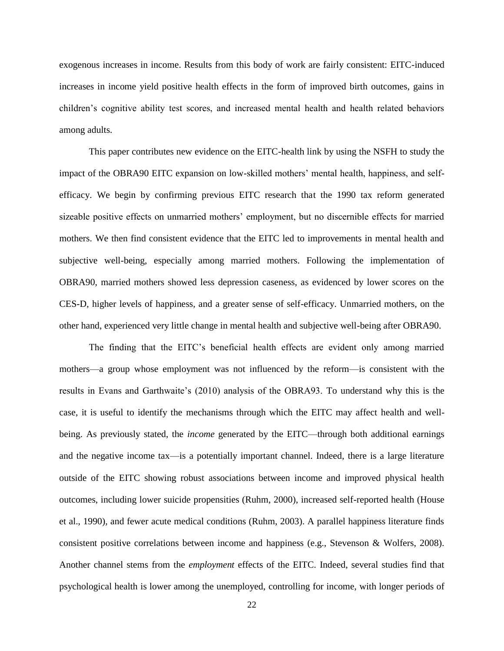exogenous increases in income. Results from this body of work are fairly consistent: EITC-induced increases in income yield positive health effects in the form of improved birth outcomes, gains in children's cognitive ability test scores, and increased mental health and health related behaviors among adults.

This paper contributes new evidence on the EITC-health link by using the NSFH to study the impact of the OBRA90 EITC expansion on low-skilled mothers' mental health, happiness, and selfefficacy. We begin by confirming previous EITC research that the 1990 tax reform generated sizeable positive effects on unmarried mothers' employment, but no discernible effects for married mothers. We then find consistent evidence that the EITC led to improvements in mental health and subjective well-being, especially among married mothers. Following the implementation of OBRA90, married mothers showed less depression caseness, as evidenced by lower scores on the CES-D, higher levels of happiness, and a greater sense of self-efficacy. Unmarried mothers, on the other hand, experienced very little change in mental health and subjective well-being after OBRA90.

The finding that the EITC's beneficial health effects are evident only among married mothers—a group whose employment was not influenced by the reform—is consistent with the results in Evans and Garthwaite's (2010) analysis of the OBRA93. To understand why this is the case, it is useful to identify the mechanisms through which the EITC may affect health and wellbeing. As previously stated, the *income* generated by the EITC—through both additional earnings and the negative income tax—is a potentially important channel. Indeed, there is a large literature outside of the EITC showing robust associations between income and improved physical health outcomes, including lower suicide propensities (Ruhm, 2000), increased self-reported health (House et al., 1990), and fewer acute medical conditions (Ruhm, 2003). A parallel happiness literature finds consistent positive correlations between income and happiness (e.g., Stevenson & Wolfers, 2008). Another channel stems from the *employment* effects of the EITC. Indeed, several studies find that psychological health is lower among the unemployed, controlling for income, with longer periods of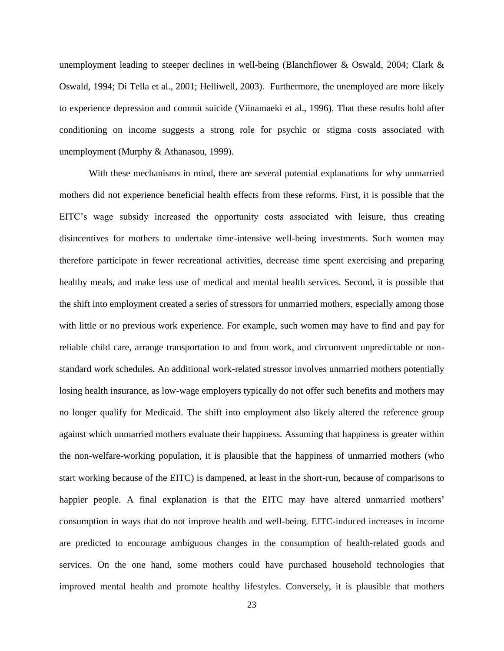unemployment leading to steeper declines in well-being (Blanchflower & Oswald, 2004; Clark & Oswald, 1994; Di Tella et al., 2001; Helliwell, 2003). Furthermore, the unemployed are more likely to experience depression and commit suicide (Viinamaeki et al., 1996). That these results hold after conditioning on income suggests a strong role for psychic or stigma costs associated with unemployment (Murphy & Athanasou, 1999).

With these mechanisms in mind, there are several potential explanations for why unmarried mothers did not experience beneficial health effects from these reforms. First, it is possible that the EITC's wage subsidy increased the opportunity costs associated with leisure, thus creating disincentives for mothers to undertake time-intensive well-being investments. Such women may therefore participate in fewer recreational activities, decrease time spent exercising and preparing healthy meals, and make less use of medical and mental health services. Second, it is possible that the shift into employment created a series of stressors for unmarried mothers, especially among those with little or no previous work experience. For example, such women may have to find and pay for reliable child care, arrange transportation to and from work, and circumvent unpredictable or nonstandard work schedules. An additional work-related stressor involves unmarried mothers potentially losing health insurance, as low-wage employers typically do not offer such benefits and mothers may no longer qualify for Medicaid. The shift into employment also likely altered the reference group against which unmarried mothers evaluate their happiness. Assuming that happiness is greater within the non-welfare-working population, it is plausible that the happiness of unmarried mothers (who start working because of the EITC) is dampened, at least in the short-run, because of comparisons to happier people. A final explanation is that the EITC may have altered unmarried mothers' consumption in ways that do not improve health and well-being. EITC-induced increases in income are predicted to encourage ambiguous changes in the consumption of health-related goods and services. On the one hand, some mothers could have purchased household technologies that improved mental health and promote healthy lifestyles. Conversely, it is plausible that mothers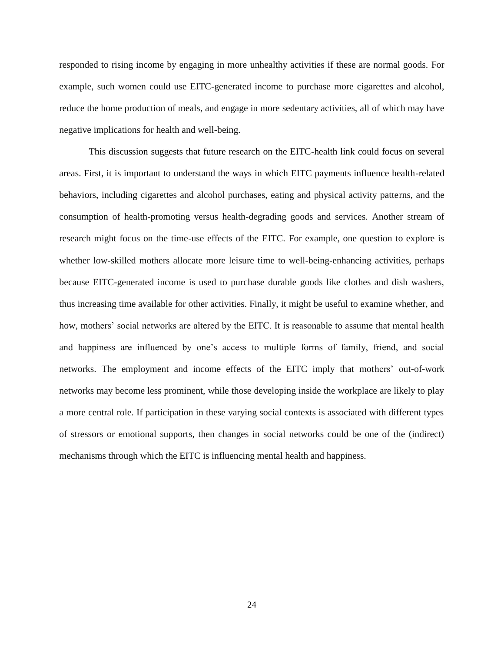responded to rising income by engaging in more unhealthy activities if these are normal goods. For example, such women could use EITC-generated income to purchase more cigarettes and alcohol, reduce the home production of meals, and engage in more sedentary activities, all of which may have negative implications for health and well-being.

This discussion suggests that future research on the EITC-health link could focus on several areas. First, it is important to understand the ways in which EITC payments influence health-related behaviors, including cigarettes and alcohol purchases, eating and physical activity patterns, and the consumption of health-promoting versus health-degrading goods and services. Another stream of research might focus on the time-use effects of the EITC. For example, one question to explore is whether low-skilled mothers allocate more leisure time to well-being-enhancing activities, perhaps because EITC-generated income is used to purchase durable goods like clothes and dish washers, thus increasing time available for other activities. Finally, it might be useful to examine whether, and how, mothers' social networks are altered by the EITC. It is reasonable to assume that mental health and happiness are influenced by one's access to multiple forms of family, friend, and social networks. The employment and income effects of the EITC imply that mothers' out-of-work networks may become less prominent, while those developing inside the workplace are likely to play a more central role. If participation in these varying social contexts is associated with different types of stressors or emotional supports, then changes in social networks could be one of the (indirect) mechanisms through which the EITC is influencing mental health and happiness.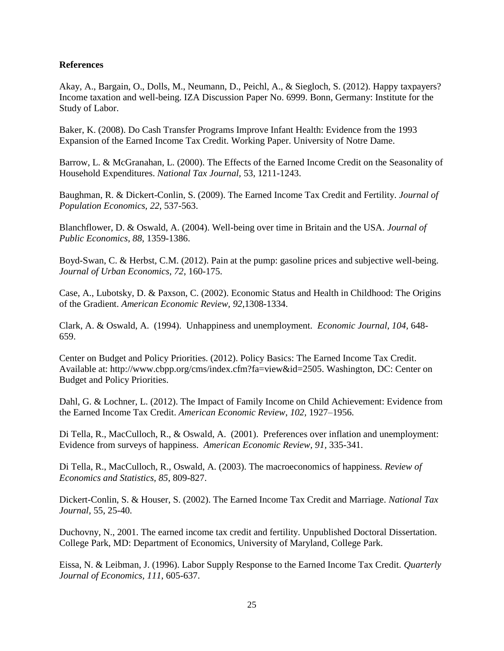# **References**

Akay, A., Bargain, O., Dolls, M., Neumann, D., Peichl, A., & Siegloch, S. (2012). Happy taxpayers? Income taxation and well-being. IZA Discussion Paper No. 6999. Bonn, Germany: Institute for the Study of Labor.

Baker, K. (2008). Do Cash Transfer Programs Improve Infant Health: Evidence from the 1993 Expansion of the Earned Income Tax Credit. Working Paper. University of Notre Dame.

Barrow, L. & McGranahan, L. (2000). The Effects of the Earned Income Credit on the Seasonality of Household Expenditures. *National Tax Journal,* 53, 1211-1243.

Baughman, R. & Dickert-Conlin, S. (2009). The Earned Income Tax Credit and Fertility. *Journal of Population Economics, 22*, 537-563.

Blanchflower, D. & Oswald, A. (2004). Well-being over time in Britain and the USA. *Journal of Public Economics, 88,* 1359-1386.

Boyd-Swan, C. & Herbst, C.M. (2012). Pain at the pump: gasoline prices and subjective well-being. *Journal of Urban Economics, 72*, 160-175.

Case, A., Lubotsky, D. & Paxson, C. (2002). Economic Status and Health in Childhood: The Origins of the Gradient. *American Economic Review, 92*,1308-1334.

Clark, A. & Oswald, A. (1994). Unhappiness and unemployment. *Economic Journal, 104,* 648- 659.

Center on Budget and Policy Priorities. (2012). Policy Basics: The Earned Income Tax Credit. Available at: http://www.cbpp.org/cms/index.cfm?fa=view&id=2505. Washington, DC: Center on Budget and Policy Priorities.

Dahl, G. & Lochner, L. (2012). The Impact of Family Income on Child Achievement: Evidence from the Earned Income Tax Credit. *American Economic Review*, *102,* 1927–1956.

Di Tella, R., MacCulloch, R., & Oswald, A. (2001). Preferences over inflation and unemployment: Evidence from surveys of happiness. *American Economic Review, 91,* 335-341.

Di Tella, R., MacCulloch, R., Oswald, A. (2003). The macroeconomics of happiness. *Review of Economics and Statistics, 85*, 809-827.

Dickert-Conlin, S. & Houser, S. (2002). The Earned Income Tax Credit and Marriage. *National Tax Journal,* 55, 25-40.

Duchovny, N., 2001. The earned income tax credit and fertility. Unpublished Doctoral Dissertation. College Park, MD: Department of Economics, University of Maryland, College Park.

Eissa, N. & Leibman, J. (1996). Labor Supply Response to the Earned Income Tax Credit. *Quarterly Journal of Economics, 111*, 605-637.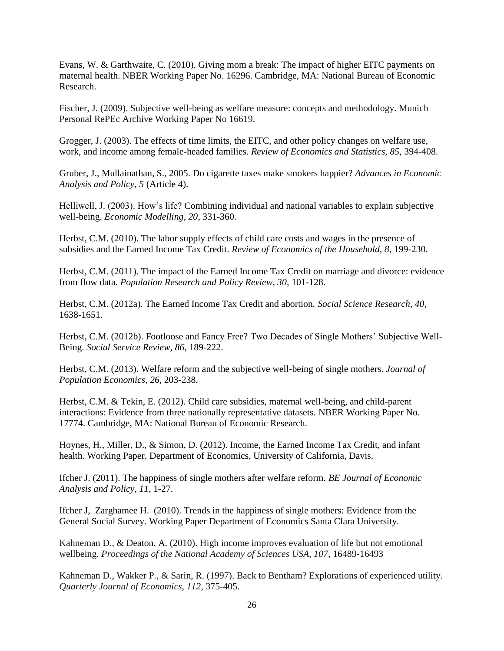Evans, W. & Garthwaite, C. (2010). Giving mom a break: The impact of higher EITC payments on maternal health. NBER Working Paper No. 16296. Cambridge, MA: National Bureau of Economic Research.

Fischer, J. (2009). Subjective well-being as welfare measure: concepts and methodology. Munich Personal RePEc Archive Working Paper No 16619.

Grogger, J. (2003). The effects of time limits, the EITC, and other policy changes on welfare use, work, and income among female-headed families. *Review of Economics and Statistics, 85,* 394-408.

Gruber, J., Mullainathan, S., 2005. Do cigarette taxes make smokers happier? *Advances in Economic Analysis and Policy, 5* (Article 4).

Helliwell, J. (2003). How's life? Combining individual and national variables to explain subjective well-being. *Economic Modelling, 20*, 331-360.

Herbst, C.M. (2010). The labor supply effects of child care costs and wages in the presence of subsidies and the Earned Income Tax Credit. *Review of Economics of the Household, 8*, 199-230.

Herbst, C.M. (2011). The impact of the Earned Income Tax Credit on marriage and divorce: evidence from flow data. *Population Research and Policy Review, 30,* 101-128.

Herbst, C.M. (2012a). The Earned Income Tax Credit and abortion. *Social Science Research, 40*, 1638-1651.

Herbst, C.M. (2012b). Footloose and Fancy Free? Two Decades of Single Mothers' Subjective Well-Being. *Social Service Review, 86*, 189-222.

Herbst, C.M. (2013). Welfare reform and the subjective well-being of single mothers. *Journal of Population Economics, 26*, 203-238.

Herbst, C.M. & Tekin, E. (2012). Child care subsidies, maternal well-being, and child-parent interactions: Evidence from three nationally representative datasets. NBER Working Paper No. 17774. Cambridge, MA: National Bureau of Economic Research.

Hoynes, H., Miller, D., & Simon, D. (2012). Income, the Earned Income Tax Credit, and infant health. Working Paper. Department of Economics, University of California, Davis.

Ifcher J. (2011). The happiness of single mothers after welfare reform. *BE Journal of Economic Analysis and Policy, 11*, 1-27.

Ifcher J, Zarghamee H. (2010). Trends in the happiness of single mothers: Evidence from the General Social Survey. Working Paper Department of Economics Santa Clara University.

Kahneman D., & Deaton, A. (2010). High income improves evaluation of life but not emotional wellbeing. *Proceedings of the National Academy of Sciences USA, 107*, 16489-16493

Kahneman D., Wakker P., & Sarin, R. (1997). Back to Bentham? Explorations of experienced utility. *Quarterly Journal of Economics, 112*, 375-405.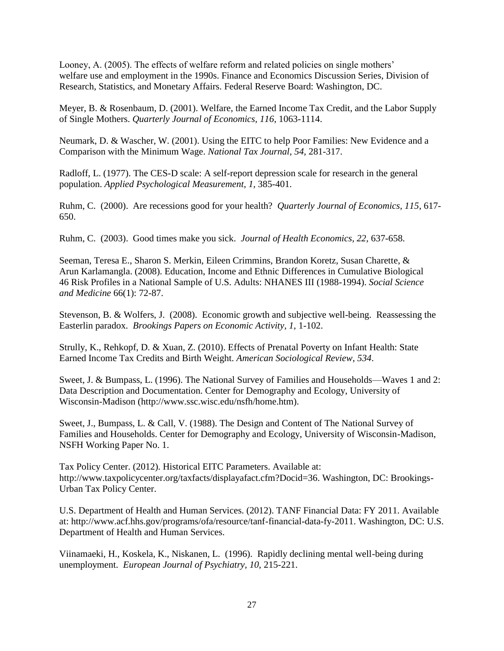Looney, A. (2005). The effects of welfare reform and related policies on single mothers' welfare use and employment in the 1990s. Finance and Economics Discussion Series, Division of Research, Statistics, and Monetary Affairs. Federal Reserve Board: Washington, DC.

Meyer, B. & Rosenbaum, D. (2001). Welfare, the Earned Income Tax Credit, and the Labor Supply of Single Mothers. *Quarterly Journal of Economics, 116*, 1063-1114.

Neumark, D. & Wascher, W. (2001). Using the EITC to help Poor Families: New Evidence and a Comparison with the Minimum Wage. *National Tax Journal, 54*, 281-317.

Radloff, L. (1977). The CES-D scale: A self-report depression scale for research in the general population. *Applied Psychological Measurement, 1,* 385-401.

Ruhm, C. (2000). Are recessions good for your health? *Quarterly Journal of Economics, 115*, 617- 650.

Ruhm, C. (2003). Good times make you sick. *Journal of Health Economics, 22,* 637-658.

Seeman, Teresa E., Sharon S. Merkin, Eileen Crimmins, Brandon Koretz, Susan Charette, & Arun Karlamangla. (2008). Education, Income and Ethnic Differences in Cumulative Biological 46 Risk Profiles in a National Sample of U.S. Adults: NHANES III (1988-1994). *Social Science and Medicine* 66(1): 72-87.

Stevenson, B. & Wolfers, J. (2008). Economic growth and subjective well-being. Reassessing the Easterlin paradox. *Brookings Papers on Economic Activity, 1,* 1-102.

Strully, K., Rehkopf, D. & Xuan, Z. (2010). Effects of Prenatal Poverty on Infant Health: State Earned Income Tax Credits and Birth Weight. *American Sociological Review*, *534*.

Sweet, J. & Bumpass, L. (1996). The National Survey of Families and Households—Waves 1 and 2: Data Description and Documentation. Center for Demography and Ecology, University of Wisconsin-Madison (http://www.ssc.wisc.edu/nsfh/home.htm).

Sweet, J., Bumpass, L. & Call, V. (1988). The Design and Content of The National Survey of Families and Households. Center for Demography and Ecology, University of Wisconsin-Madison, NSFH Working Paper No. 1.

Tax Policy Center. (2012). Historical EITC Parameters. Available at: http://www.taxpolicycenter.org/taxfacts/displayafact.cfm?Docid=36. Washington, DC: Brookings-Urban Tax Policy Center.

U.S. Department of Health and Human Services. (2012). TANF Financial Data: FY 2011. Available at: http://www.acf.hhs.gov/programs/ofa/resource/tanf-financial-data-fy-2011. Washington, DC: U.S. Department of Health and Human Services.

Viinamaeki, H., Koskela, K., Niskanen, L. (1996). Rapidly declining mental well-being during unemployment. *European Journal of Psychiatry, 10,* 215-221.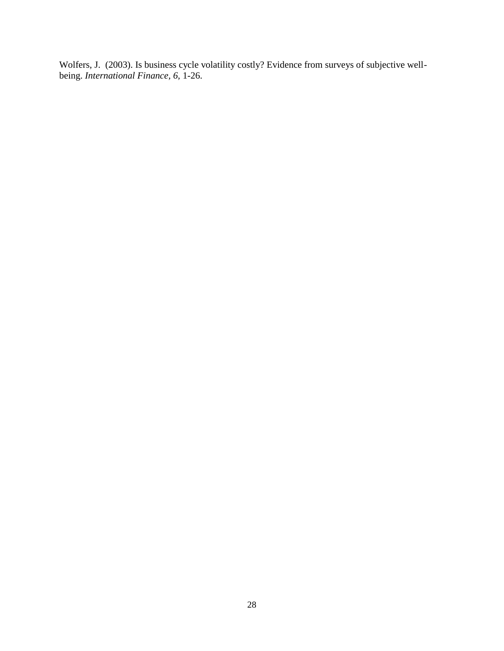Wolfers, J. (2003). Is business cycle volatility costly? Evidence from surveys of subjective wellbeing. *International Finance, 6,* 1-26.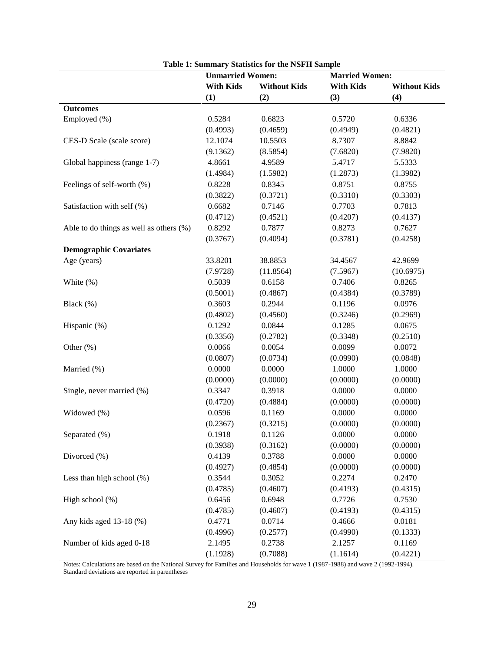|                                         |                         | <b>Table 1: Summary Statistics for the NSFH Sample</b> |                       |                     |  |  |
|-----------------------------------------|-------------------------|--------------------------------------------------------|-----------------------|---------------------|--|--|
|                                         | <b>Unmarried Women:</b> |                                                        | <b>Married Women:</b> |                     |  |  |
|                                         | <b>With Kids</b>        | <b>Without Kids</b>                                    | <b>With Kids</b>      | <b>Without Kids</b> |  |  |
|                                         | (1)                     | (2)                                                    | (3)                   | (4)                 |  |  |
| <b>Outcomes</b>                         |                         |                                                        |                       |                     |  |  |
| Employed (%)                            | 0.5284                  | 0.6823                                                 | 0.5720                | 0.6336              |  |  |
|                                         | (0.4993)                | (0.4659)                                               | (0.4949)              | (0.4821)            |  |  |
| CES-D Scale (scale score)               | 12.1074                 | 10.5503                                                | 8.7307                | 8.8842              |  |  |
|                                         | (9.1362)                | (8.5854)                                               | (7.6820)              | (7.9820)            |  |  |
| Global happiness (range 1-7)            | 4.8661                  | 4.9589                                                 | 5.4717                | 5.5333              |  |  |
|                                         | (1.4984)                | (1.5982)                                               | (1.2873)              | (1.3982)            |  |  |
| Feelings of self-worth (%)              | 0.8228                  | 0.8345                                                 | 0.8751                | 0.8755              |  |  |
|                                         | (0.3822)                | (0.3721)                                               | (0.3310)              | (0.3303)            |  |  |
| Satisfaction with self (%)              | 0.6682                  | 0.7146                                                 | 0.7703                | 0.7813              |  |  |
|                                         | (0.4712)                | (0.4521)                                               | (0.4207)              | (0.4137)            |  |  |
| Able to do things as well as others (%) | 0.8292                  | 0.7877                                                 | 0.8273                | 0.7627              |  |  |
|                                         | (0.3767)                | (0.4094)                                               | (0.3781)              | (0.4258)            |  |  |
| <b>Demographic Covariates</b>           |                         |                                                        |                       |                     |  |  |
| Age (years)                             | 33.8201                 | 38.8853                                                | 34.4567               | 42.9699             |  |  |
|                                         | (7.9728)                | (11.8564)                                              | (7.5967)              | (10.6975)           |  |  |
| White (%)                               | 0.5039                  | 0.6158                                                 | 0.7406                | 0.8265              |  |  |
|                                         | (0.5001)                | (0.4867)                                               | (0.4384)              | (0.3789)            |  |  |
| Black (%)                               | 0.3603                  | 0.2944                                                 | 0.1196                | 0.0976              |  |  |
|                                         | (0.4802)                | (0.4560)                                               | (0.3246)              | (0.2969)            |  |  |
| Hispanic (%)                            | 0.1292                  | 0.0844                                                 | 0.1285                | 0.0675              |  |  |
|                                         | (0.3356)                | (0.2782)                                               | (0.3348)              | (0.2510)            |  |  |
| Other (%)                               | 0.0066                  | 0.0054                                                 | 0.0099                | 0.0072              |  |  |
|                                         | (0.0807)                | (0.0734)                                               | (0.0990)              | (0.0848)            |  |  |
| Married (%)                             | 0.0000                  | 0.0000                                                 | 1.0000                | 1.0000              |  |  |
|                                         | (0.0000)                | (0.0000)                                               | (0.0000)              | (0.0000)            |  |  |
| Single, never married (%)               | 0.3347                  | 0.3918                                                 | 0.0000                | 0.0000              |  |  |
|                                         | (0.4720)                | (0.4884)                                               | (0.0000)              | (0.0000)            |  |  |
| Widowed (%)                             | 0.0596                  | 0.1169                                                 | 0.0000                | 0.0000              |  |  |
|                                         | (0.2367)                | (0.3215)                                               | (0.0000)              | (0.0000)            |  |  |
| Separated (%)                           | 0.1918                  | 0.1126                                                 | 0.0000                | 0.0000              |  |  |
|                                         | (0.3938)                | (0.3162)                                               | (0.0000)              | (0.0000)            |  |  |
| Divorced (%)                            | 0.4139                  | 0.3788                                                 | 0.0000                | 0.0000              |  |  |
|                                         | (0.4927)                | (0.4854)                                               | (0.0000)              | (0.0000)            |  |  |
| Less than high school $(\%)$            | 0.3544                  | 0.3052                                                 | 0.2274                | 0.2470              |  |  |
|                                         | (0.4785)                | (0.4607)                                               | (0.4193)              | (0.4315)            |  |  |
| High school (%)                         | 0.6456                  | 0.6948                                                 | 0.7726                | 0.7530              |  |  |
|                                         | (0.4785)                | (0.4607)                                               | (0.4193)              | (0.4315)            |  |  |
| Any kids aged 13-18 (%)                 | 0.4771                  | 0.0714                                                 | 0.4666                | 0.0181              |  |  |
|                                         | (0.4996)                | (0.2577)                                               | (0.4990)              | (0.1333)            |  |  |
| Number of kids aged 0-18                | 2.1495                  | 0.2738                                                 | 2.1257                | 0.1169              |  |  |
|                                         | (1.1928)                | (0.7088)                                               | (1.1614)              | (0.4221)            |  |  |

Notes: Calculations are based on the National Survey for Families and Households for wave 1 (1987-1988) and wave 2 (1992-1994). Standard deviations are reported in parentheses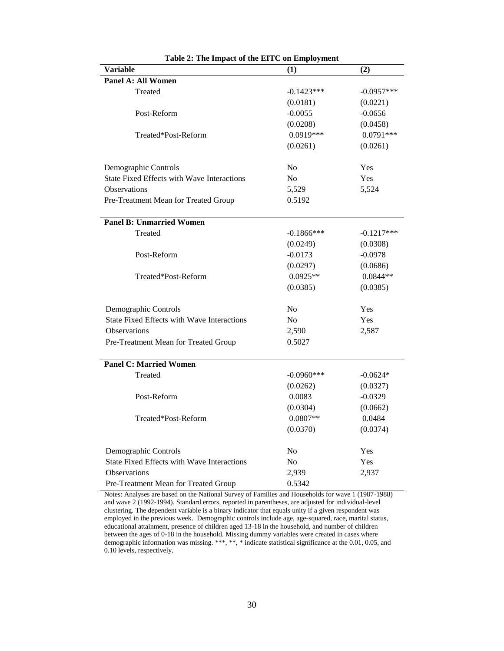| <b>Variable</b>                                   | (1)            | (2)          |
|---------------------------------------------------|----------------|--------------|
| Panel A: All Women                                |                |              |
| Treated                                           | $-0.1423***$   | $-0.0957***$ |
|                                                   | (0.0181)       | (0.0221)     |
| Post-Reform                                       | $-0.0055$      | $-0.0656$    |
|                                                   | (0.0208)       | (0.0458)     |
| Treated*Post-Reform                               | 0.0919***      | $0.0791***$  |
|                                                   | (0.0261)       | (0.0261)     |
| Demographic Controls                              | N <sub>0</sub> | Yes          |
| State Fixed Effects with Wave Interactions        | N <sub>0</sub> | Yes          |
| <b>Observations</b>                               | 5,529          | 5,524        |
| Pre-Treatment Mean for Treated Group              | 0.5192         |              |
| <b>Panel B: Unmarried Women</b>                   |                |              |
| Treated                                           | $-0.1866$ ***  | $-0.1217***$ |
|                                                   | (0.0249)       | (0.0308)     |
| Post-Reform                                       | $-0.0173$      | $-0.0978$    |
|                                                   | (0.0297)       | (0.0686)     |
| Treated*Post-Reform                               | $0.0925**$     | $0.0844**$   |
|                                                   | (0.0385)       | (0.0385)     |
| Demographic Controls                              | N <sub>o</sub> | Yes          |
| <b>State Fixed Effects with Wave Interactions</b> | N <sub>0</sub> | Yes          |
| Observations                                      | 2,590          | 2,587        |
| Pre-Treatment Mean for Treated Group              | 0.5027         |              |
| <b>Panel C: Married Women</b>                     |                |              |
| Treated                                           | $-0.0960***$   | $-0.0624*$   |
|                                                   | (0.0262)       | (0.0327)     |
| Post-Reform                                       | 0.0083         | $-0.0329$    |
|                                                   | (0.0304)       | (0.0662)     |
| Treated*Post-Reform                               | $0.0807**$     | 0.0484       |
|                                                   | (0.0370)       | (0.0374)     |
| Demographic Controls                              | N <sub>o</sub> | Yes          |
| <b>State Fixed Effects with Wave Interactions</b> | N <sub>o</sub> | Yes          |
| <b>Observations</b>                               | 2,939          | 2,937        |
| Pre-Treatment Mean for Treated Group              | 0.5342         |              |

|  | Table 2: The Impact of the EITC on Employment |
|--|-----------------------------------------------|
|--|-----------------------------------------------|

Notes: Analyses are based on the National Survey of Families and Households for wave 1 (1987-1988) and wave 2 (1992-1994). Standard errors, reported in parentheses, are adjusted for individual-level clustering. The dependent variable is a binary indicator that equals unity if a given respondent was employed in the previous week. Demographic controls include age, age-squared, race, marital status, educational attainment, presence of children aged 13-18 in the household, and number of children between the ages of 0-18 in the household. Missing dummy variables were created in cases where demographic information was missing. \*\*\*, \*\*, \* indicate statistical significance at the 0.01, 0.05, and 0.10 levels, respectively.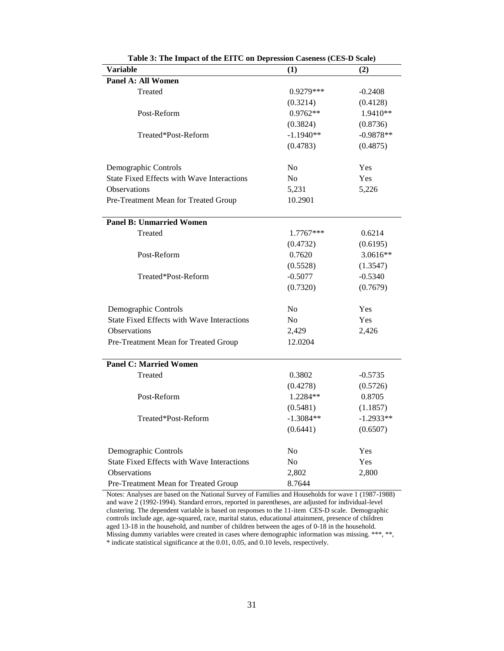| <b>Variable</b>                                   | (1)            | (2)         |
|---------------------------------------------------|----------------|-------------|
| Panel A: All Women                                |                |             |
| Treated                                           | 0.9279***      | $-0.2408$   |
|                                                   | (0.3214)       | (0.4128)    |
| Post-Reform                                       | $0.9762**$     | 1.9410**    |
|                                                   | (0.3824)       | (0.8736)    |
| Treated*Post-Reform                               | $-1.1940**$    | $-0.9878**$ |
|                                                   | (0.4783)       | (0.4875)    |
| Demographic Controls                              | N <sub>o</sub> | Yes         |
| <b>State Fixed Effects with Wave Interactions</b> | N <sub>o</sub> | <b>Yes</b>  |
| <b>Observations</b>                               | 5,231          | 5,226       |
| Pre-Treatment Mean for Treated Group              | 10.2901        |             |
| <b>Panel B: Unmarried Women</b>                   |                |             |
| Treated                                           | 1.7767***      | 0.6214      |
|                                                   | (0.4732)       | (0.6195)    |
| Post-Reform                                       | 0.7620         | 3.0616**    |
|                                                   | (0.5528)       | (1.3547)    |
| Treated*Post-Reform                               | $-0.5077$      | $-0.5340$   |
|                                                   | (0.7320)       | (0.7679)    |
| Demographic Controls                              | No             | Yes         |
| <b>State Fixed Effects with Wave Interactions</b> | No             | <b>Yes</b>  |
| <b>Observations</b>                               | 2,429          | 2,426       |
| Pre-Treatment Mean for Treated Group              | 12.0204        |             |
| <b>Panel C: Married Women</b>                     |                |             |
| Treated                                           | 0.3802         | $-0.5735$   |
|                                                   | (0.4278)       | (0.5726)    |
| Post-Reform                                       | 1.2284**       | 0.8705      |
|                                                   | (0.5481)       | (1.1857)    |
| Treated*Post-Reform                               | $-1.3084**$    | $-1.2933**$ |
|                                                   | (0.6441)       | (0.6507)    |
| Demographic Controls                              | N <sub>0</sub> | Yes         |
| State Fixed Effects with Wave Interactions        | N <sub>0</sub> | Yes         |
| <b>Observations</b>                               | 2,802          | 2,800       |
| Pre-Treatment Mean for Treated Group              | 8.7644         |             |

**Table 3: The Impact of the EITC on Depression Caseness (CES-D Scale)**

Notes: Analyses are based on the National Survey of Families and Households for wave 1 (1987-1988) and wave 2 (1992-1994). Standard errors, reported in parentheses, are adjusted for individual-level clustering. The dependent variable is based on responses to the 11-item CES-D scale. Demographic controls include age, age-squared, race, marital status, educational attainment, presence of children aged 13-18 in the household, and number of children between the ages of 0-18 in the household. Missing dummy variables were created in cases where demographic information was missing. \*\*\*, \*\*, \* indicate statistical significance at the 0.01, 0.05, and 0.10 levels, respectively.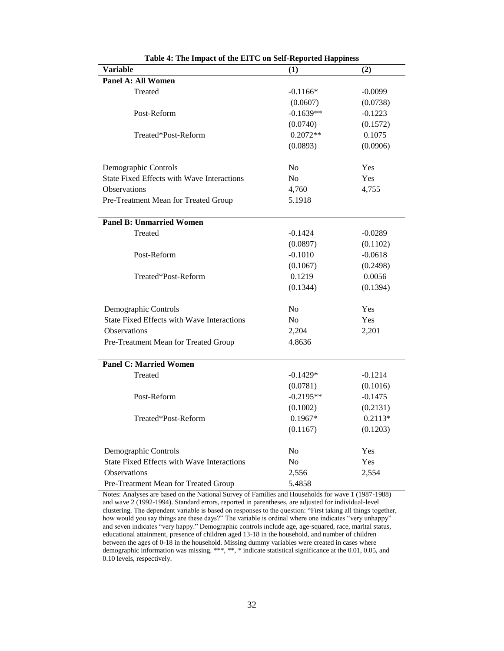| <b>Variable</b>                                   | (1)            | (2)       |
|---------------------------------------------------|----------------|-----------|
| Panel A: All Women                                |                |           |
| Treated                                           | $-0.1166*$     | $-0.0099$ |
|                                                   | (0.0607)       | (0.0738)  |
| Post-Reform                                       | $-0.1639**$    | $-0.1223$ |
|                                                   | (0.0740)       | (0.1572)  |
| Treated*Post-Reform                               | $0.2072**$     | 0.1075    |
|                                                   | (0.0893)       | (0.0906)  |
| Demographic Controls                              | No             | Yes       |
| <b>State Fixed Effects with Wave Interactions</b> | No             | Yes       |
| Observations                                      | 4,760          | 4,755     |
| Pre-Treatment Mean for Treated Group              | 5.1918         |           |
| <b>Panel B: Unmarried Women</b>                   |                |           |
| Treated                                           | $-0.1424$      | $-0.0289$ |
|                                                   | (0.0897)       | (0.1102)  |
| Post-Reform                                       | $-0.1010$      | $-0.0618$ |
|                                                   | (0.1067)       | (0.2498)  |
| Treated*Post-Reform                               | 0.1219         | 0.0056    |
|                                                   | (0.1344)       | (0.1394)  |
| Demographic Controls                              | No             | Yes       |
| <b>State Fixed Effects with Wave Interactions</b> | N <sub>0</sub> | Yes       |
| Observations                                      | 2,204          | 2,201     |
| Pre-Treatment Mean for Treated Group              | 4.8636         |           |
| <b>Panel C: Married Women</b>                     |                |           |
| Treated                                           | $-0.1429*$     | $-0.1214$ |
|                                                   | (0.0781)       | (0.1016)  |
| Post-Reform                                       | $-0.2195**$    | $-0.1475$ |
|                                                   | (0.1002)       | (0.2131)  |
| Treated*Post-Reform                               | $0.1967*$      | $0.2113*$ |
|                                                   | (0.1167)       | (0.1203)  |
| Demographic Controls                              | N <sub>0</sub> | Yes       |
| State Fixed Effects with Wave Interactions        | N <sub>0</sub> | Yes       |
| Observations                                      | 2,556          | 2,554     |
| Pre-Treatment Mean for Treated Group              | 5.4858         |           |

| Table 4: The Impact of the EITC on Self-Reported Happiness |  |
|------------------------------------------------------------|--|
|------------------------------------------------------------|--|

Notes: Analyses are based on the National Survey of Families and Households for wave 1 (1987-1988) and wave 2 (1992-1994). Standard errors, reported in parentheses, are adjusted for individual-level clustering. The dependent variable is based on responses to the question: "First taking all things together, how would you say things are these days?" The variable is ordinal where one indicates "very unhappy" and seven indicates "very happy." Demographic controls include age, age-squared, race, marital status, educational attainment, presence of children aged 13-18 in the household, and number of children between the ages of 0-18 in the household. Missing dummy variables were created in cases where demographic information was missing. \*\*\*, \*\*, \* indicate statistical significance at the 0.01, 0.05, and 0.10 levels, respectively.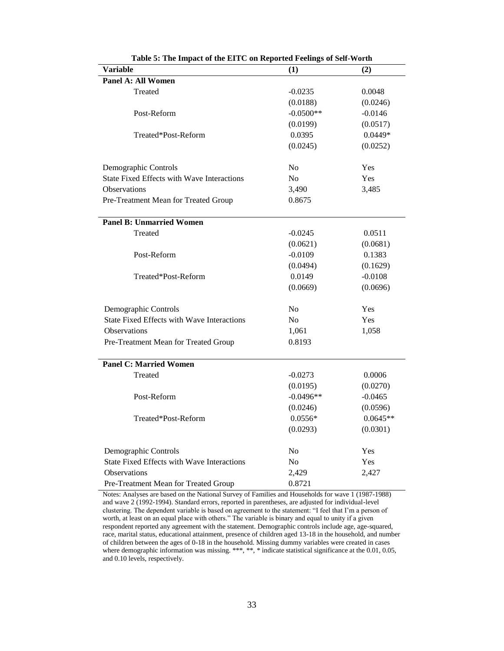| Variable                                          | $\bf(1)$       | (2)        |
|---------------------------------------------------|----------------|------------|
| Panel A: All Women                                |                |            |
| Treated                                           | $-0.0235$      | 0.0048     |
|                                                   | (0.0188)       | (0.0246)   |
| Post-Reform                                       | $-0.0500**$    | $-0.0146$  |
|                                                   | (0.0199)       | (0.0517)   |
| Treated*Post-Reform                               | 0.0395         | $0.0449*$  |
|                                                   | (0.0245)       | (0.0252)   |
| Demographic Controls                              | No             | Yes        |
| <b>State Fixed Effects with Wave Interactions</b> | N <sub>0</sub> | <b>Yes</b> |
| <b>Observations</b>                               | 3,490          | 3,485      |
| Pre-Treatment Mean for Treated Group              | 0.8675         |            |
| <b>Panel B: Unmarried Women</b>                   |                |            |
| Treated                                           | $-0.0245$      | 0.0511     |
|                                                   | (0.0621)       | (0.0681)   |
| Post-Reform                                       | $-0.0109$      | 0.1383     |
|                                                   | (0.0494)       | (0.1629)   |
| Treated*Post-Reform                               | 0.0149         | $-0.0108$  |
|                                                   | (0.0669)       | (0.0696)   |
| Demographic Controls                              | No             | Yes        |
| <b>State Fixed Effects with Wave Interactions</b> | N <sub>o</sub> | Yes        |
| Observations                                      | 1,061          | 1,058      |
| Pre-Treatment Mean for Treated Group              | 0.8193         |            |
| <b>Panel C: Married Women</b>                     |                |            |
| Treated                                           | $-0.0273$      | 0.0006     |
|                                                   | (0.0195)       | (0.0270)   |
| Post-Reform                                       | $-0.0496**$    | $-0.0465$  |
|                                                   | (0.0246)       | (0.0596)   |
| Treated*Post-Reform                               | $0.0556*$      | $0.0645**$ |
|                                                   | (0.0293)       | (0.0301)   |
| Demographic Controls                              | No             | Yes        |
| State Fixed Effects with Wave Interactions        | N <sub>0</sub> | <b>Yes</b> |
| <b>Observations</b>                               | 2,429          | 2,427      |
| Pre-Treatment Mean for Treated Group              | 0.8721         |            |

Notes: Analyses are based on the National Survey of Families and Households for wave 1 (1987-1988) and wave 2 (1992-1994). Standard errors, reported in parentheses, are adjusted for individual-level clustering. The dependent variable is based on agreement to the statement: "I feel that I'm a person of worth, at least on an equal place with others." The variable is binary and equal to unity if a given respondent reported any agreement with the statement. Demographic controls include age, age-squared, race, marital status, educational attainment, presence of children aged 13-18 in the household, and number of children between the ages of 0-18 in the household. Missing dummy variables were created in cases where demographic information was missing. \*\*\*, \*\*, \* indicate statistical significance at the 0.01, 0.05, and 0.10 levels, respectively.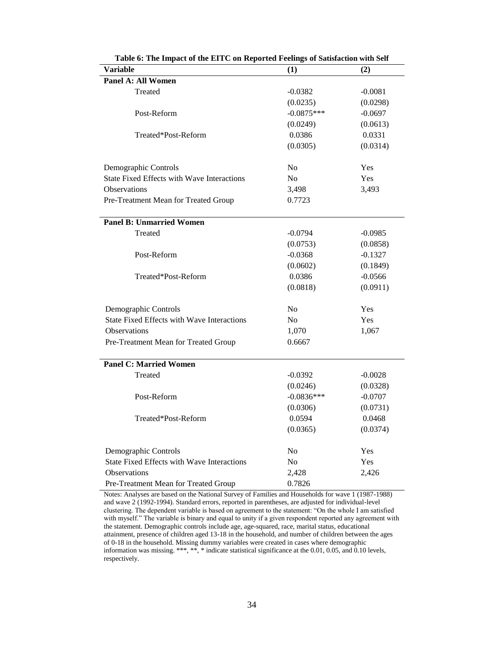| <b>Table 0.</b> The impact of the ETTC on inepotitum reenags of sausiaction<br>Variable | (1)                      | <b>WILL DELL</b><br>(2) |
|-----------------------------------------------------------------------------------------|--------------------------|-------------------------|
| Panel A: All Women                                                                      |                          |                         |
| Treated                                                                                 | $-0.0382$                | $-0.0081$               |
|                                                                                         |                          |                         |
|                                                                                         | (0.0235)<br>$-0.0875***$ | (0.0298)                |
| Post-Reform                                                                             |                          | $-0.0697$               |
|                                                                                         | (0.0249)                 | (0.0613)                |
| Treated*Post-Reform                                                                     | 0.0386                   | 0.0331                  |
|                                                                                         | (0.0305)                 | (0.0314)                |
| Demographic Controls                                                                    | N <sub>o</sub>           | Yes                     |
| <b>State Fixed Effects with Wave Interactions</b>                                       | N <sub>o</sub>           | Yes                     |
| <b>Observations</b>                                                                     | 3,498                    | 3,493                   |
| Pre-Treatment Mean for Treated Group                                                    | 0.7723                   |                         |
|                                                                                         |                          |                         |
| <b>Panel B: Unmarried Women</b>                                                         |                          |                         |
| Treated                                                                                 | $-0.0794$                | $-0.0985$               |
|                                                                                         | (0.0753)                 | (0.0858)                |
| Post-Reform                                                                             | $-0.0368$                | $-0.1327$               |
|                                                                                         | (0.0602)                 | (0.1849)                |
| Treated*Post-Reform                                                                     | 0.0386                   | $-0.0566$               |
|                                                                                         | (0.0818)                 | (0.0911)                |
|                                                                                         |                          |                         |
| Demographic Controls                                                                    | N <sub>0</sub>           | Yes                     |
| State Fixed Effects with Wave Interactions                                              | N <sub>o</sub>           | Yes                     |
| Observations                                                                            | 1,070                    | 1,067                   |
| Pre-Treatment Mean for Treated Group                                                    | 0.6667                   |                         |
|                                                                                         |                          |                         |
| <b>Panel C: Married Women</b>                                                           |                          |                         |
| Treated                                                                                 | $-0.0392$                | $-0.0028$               |
|                                                                                         | (0.0246)                 | (0.0328)                |
| Post-Reform                                                                             | $-0.0836***$             | $-0.0707$               |
|                                                                                         | (0.0306)                 | (0.0731)                |
| Treated*Post-Reform                                                                     | 0.0594                   | 0.0468                  |
|                                                                                         | (0.0365)                 | (0.0374)                |
|                                                                                         |                          |                         |
| Demographic Controls                                                                    | No                       | Yes                     |
| State Fixed Effects with Wave Interactions                                              | N <sub>o</sub>           | Yes                     |
| Observations                                                                            | 2,428                    | 2,426                   |
| Pre-Treatment Mean for Treated Group                                                    | 0.7826                   |                         |

| Table 6: The Impact of the EITC on Reported Feelings of Satisfaction with Self                                       |  |     |  |
|----------------------------------------------------------------------------------------------------------------------|--|-----|--|
| Variable                                                                                                             |  | (2) |  |
| $\mathbf{L}$ $\mathbf{L}$ $\mathbf{L}$ $\mathbf{L}$ $\mathbf{L}$ $\mathbf{L}$ $\mathbf{L}$ $\mathbf{L}$ $\mathbf{L}$ |  |     |  |

Notes: Analyses are based on the National Survey of Families and Households for wave 1 (1987-1988) and wave 2 (1992-1994). Standard errors, reported in parentheses, are adjusted for individual-level clustering. The dependent variable is based on agreement to the statement: "On the whole I am satisfied with myself." The variable is binary and equal to unity if a given respondent reported any agreement with the statement. Demographic controls include age, age-squared, race, marital status, educational attainment, presence of children aged 13-18 in the household, and number of children between the ages of 0-18 in the household. Missing dummy variables were created in cases where demographic information was missing. \*\*\*, \*\*, \* indicate statistical significance at the 0.01, 0.05, and 0.10 levels, respectively.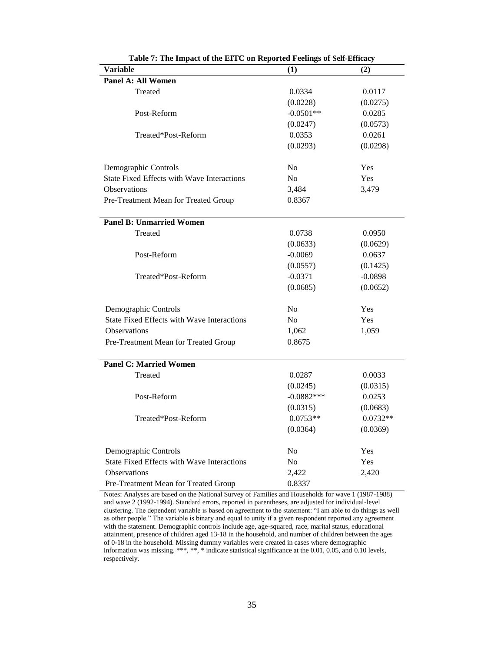| Table 7. The impact of the EITC on Reported Feelings of Sen-Efficie,<br>Variable | (1)            | (2)        |
|----------------------------------------------------------------------------------|----------------|------------|
| <b>Panel A: All Women</b>                                                        |                |            |
| Treated                                                                          | 0.0334         | 0.0117     |
|                                                                                  | (0.0228)       | (0.0275)   |
| Post-Reform                                                                      | $-0.0501**$    | 0.0285     |
|                                                                                  | (0.0247)       | (0.0573)   |
| Treated*Post-Reform                                                              | 0.0353         | 0.0261     |
|                                                                                  | (0.0293)       | (0.0298)   |
| Demographic Controls                                                             | No             | Yes        |
| <b>State Fixed Effects with Wave Interactions</b>                                | N <sub>o</sub> | Yes        |
| <b>Observations</b>                                                              | 3,484          | 3,479      |
| Pre-Treatment Mean for Treated Group                                             | 0.8367         |            |
| <b>Panel B: Unmarried Women</b>                                                  |                |            |
| Treated                                                                          | 0.0738         | 0.0950     |
|                                                                                  | (0.0633)       | (0.0629)   |
| Post-Reform                                                                      | $-0.0069$      | 0.0637     |
|                                                                                  | (0.0557)       | (0.1425)   |
| Treated*Post-Reform                                                              | $-0.0371$      | $-0.0898$  |
|                                                                                  | (0.0685)       | (0.0652)   |
| Demographic Controls                                                             | No             | Yes        |
| <b>State Fixed Effects with Wave Interactions</b>                                | No             | Yes        |
| Observations                                                                     | 1,062          | 1,059      |
| Pre-Treatment Mean for Treated Group                                             | 0.8675         |            |
| <b>Panel C: Married Women</b>                                                    |                |            |
| Treated                                                                          | 0.0287         | 0.0033     |
|                                                                                  | (0.0245)       | (0.0315)   |
| Post-Reform                                                                      | $-0.0882***$   | 0.0253     |
|                                                                                  | (0.0315)       | (0.0683)   |
| Treated*Post-Reform                                                              | $0.0753**$     | $0.0732**$ |
|                                                                                  | (0.0364)       | (0.0369)   |
| Demographic Controls                                                             | No             | Yes        |
| <b>State Fixed Effects with Wave Interactions</b>                                | No             | Yes        |
| Observations                                                                     | 2,422          | 2,420      |
| Pre-Treatment Mean for Treated Group                                             | 0.8337         |            |

**Table 7: The Impact of the EITC on Reported Feelings of Self-Efficacy**

Notes: Analyses are based on the National Survey of Families and Households for wave 1 (1987-1988) and wave 2 (1992-1994). Standard errors, reported in parentheses, are adjusted for individual-level clustering. The dependent variable is based on agreement to the statement: "I am able to do things as well as other people." The variable is binary and equal to unity if a given respondent reported any agreement with the statement. Demographic controls include age, age-squared, race, marital status, educational attainment, presence of children aged 13-18 in the household, and number of children between the ages of 0-18 in the household. Missing dummy variables were created in cases where demographic information was missing. \*\*\*, \*\*, \* indicate statistical significance at the 0.01, 0.05, and 0.10 levels, respectively.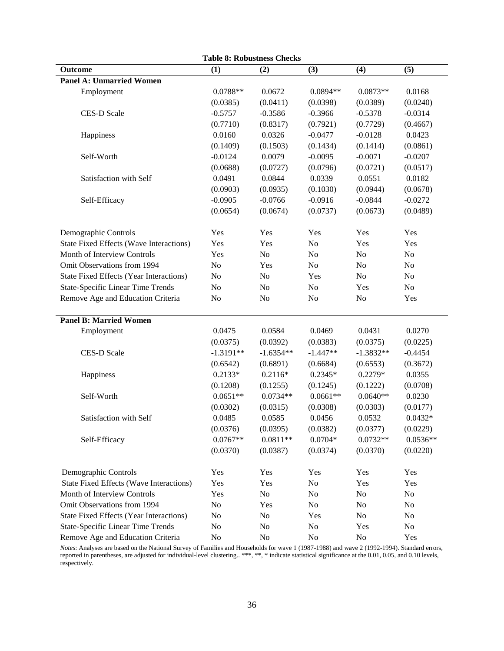|                                                | <b>Table 8: Robustness Checks</b> |                |                |                |            |
|------------------------------------------------|-----------------------------------|----------------|----------------|----------------|------------|
| Outcome                                        | (1)                               | (2)            | (3)            | (4)            | (5)        |
| <b>Panel A: Unmarried Women</b>                |                                   |                |                |                |            |
| Employment                                     | $0.0788**$                        | 0.0672         | $0.0894**$     | $0.0873**$     | 0.0168     |
|                                                | (0.0385)                          | (0.0411)       | (0.0398)       | (0.0389)       | (0.0240)   |
| <b>CES-D Scale</b>                             | $-0.5757$                         | $-0.3586$      | $-0.3966$      | $-0.5378$      | $-0.0314$  |
|                                                | (0.7710)                          | (0.8317)       | (0.7921)       | (0.7729)       | (0.4667)   |
| Happiness                                      | 0.0160                            | 0.0326         | $-0.0477$      | $-0.0128$      | 0.0423     |
|                                                | (0.1409)                          | (0.1503)       | (0.1434)       | (0.1414)       | (0.0861)   |
| Self-Worth                                     | $-0.0124$                         | 0.0079         | $-0.0095$      | $-0.0071$      | $-0.0207$  |
|                                                | (0.0688)                          | (0.0727)       | (0.0796)       | (0.0721)       | (0.0517)   |
| Satisfaction with Self                         | 0.0491                            | 0.0844         | 0.0339         | 0.0551         | 0.0182     |
|                                                | (0.0903)                          | (0.0935)       | (0.1030)       | (0.0944)       | (0.0678)   |
| Self-Efficacy                                  | $-0.0905$                         | $-0.0766$      | $-0.0916$      | $-0.0844$      | $-0.0272$  |
|                                                | (0.0654)                          | (0.0674)       | (0.0737)       | (0.0673)       | (0.0489)   |
| Demographic Controls                           | Yes                               | Yes            | Yes            | Yes            | Yes        |
| <b>State Fixed Effects (Wave Interactions)</b> | Yes                               | Yes            | N <sub>o</sub> | Yes            | Yes        |
| Month of Interview Controls                    | Yes                               | N <sub>o</sub> | N <sub>o</sub> | N <sub>0</sub> | No         |
| Omit Observations from 1994                    | No                                | Yes            | N <sub>o</sub> | N <sub>o</sub> | No         |
| <b>State Fixed Effects (Year Interactions)</b> | No                                | N <sub>o</sub> | Yes            | N <sub>o</sub> | No         |
| <b>State-Specific Linear Time Trends</b>       | N <sub>o</sub>                    | N <sub>o</sub> | N <sub>o</sub> | Yes            | No         |
| Remove Age and Education Criteria              | No                                | N <sub>o</sub> | N <sub>o</sub> | N <sub>o</sub> | Yes        |
|                                                |                                   |                |                |                |            |
| <b>Panel B: Married Women</b>                  |                                   |                |                |                |            |
| Employment                                     | 0.0475                            | 0.0584         | 0.0469         | 0.0431         | 0.0270     |
|                                                | (0.0375)                          | (0.0392)       | (0.0383)       | (0.0375)       | (0.0225)   |
| <b>CES-D Scale</b>                             | $-1.3191**$                       | $-1.6354**$    | $-1.447**$     | $-1.3832**$    | $-0.4454$  |
|                                                | (0.6542)                          | (0.6891)       | (0.6684)       | (0.6553)       | (0.3672)   |
| Happiness                                      | $0.2133*$                         | $0.2116*$      | $0.2345*$      | $0.2279*$      | 0.0355     |
|                                                | (0.1208)                          | (0.1255)       | (0.1245)       | (0.1222)       | (0.0708)   |
| Self-Worth                                     | $0.0651**$                        | $0.0734**$     | $0.0661**$     | $0.0640**$     | 0.0230     |
|                                                | (0.0302)                          | (0.0315)       | (0.0308)       | (0.0303)       | (0.0177)   |
| Satisfaction with Self                         | 0.0485                            | 0.0585         | 0.0456         | 0.0532         | $0.0432*$  |
|                                                | (0.0376)                          | (0.0395)       | (0.0382)       | (0.0377)       | (0.0229)   |
| Self-Efficacy                                  | $0.0767**$                        | $0.0811**$     | $0.0704*$      | $0.0732**$     | $0.0536**$ |
|                                                | (0.0370)                          | (0.0387)       | (0.0374)       | (0.0370)       | (0.0220)   |
| Demographic Controls                           | Yes                               | Yes            | Yes            | Yes            | Yes        |
| <b>State Fixed Effects (Wave Interactions)</b> | Yes                               | Yes            | N <sub>0</sub> | Yes            | Yes        |
| Month of Interview Controls                    | Yes                               | No             | N <sub>0</sub> | No             | No         |
| Omit Observations from 1994                    | No                                | Yes            | N <sub>0</sub> | No             | No         |
| <b>State Fixed Effects (Year Interactions)</b> | No                                | No             | Yes            | No             | No         |
| <b>State-Specific Linear Time Trends</b>       | No                                | N <sub>0</sub> | N <sub>0</sub> | Yes            | No         |
| Remove Age and Education Criteria              | No                                | $\rm No$       | No             | No             | Yes        |

*Notes*: Analyses are based on the National Survey of Families and Households for wave 1 (1987-1988) and wave 2 (1992-1994). Standard errors, reported in parentheses, are adjusted for individual-level clustering.. \*\*\*, \*\*, \* indicate statistical significance at the 0.01, 0.05, and 0.10 levels, respectively.